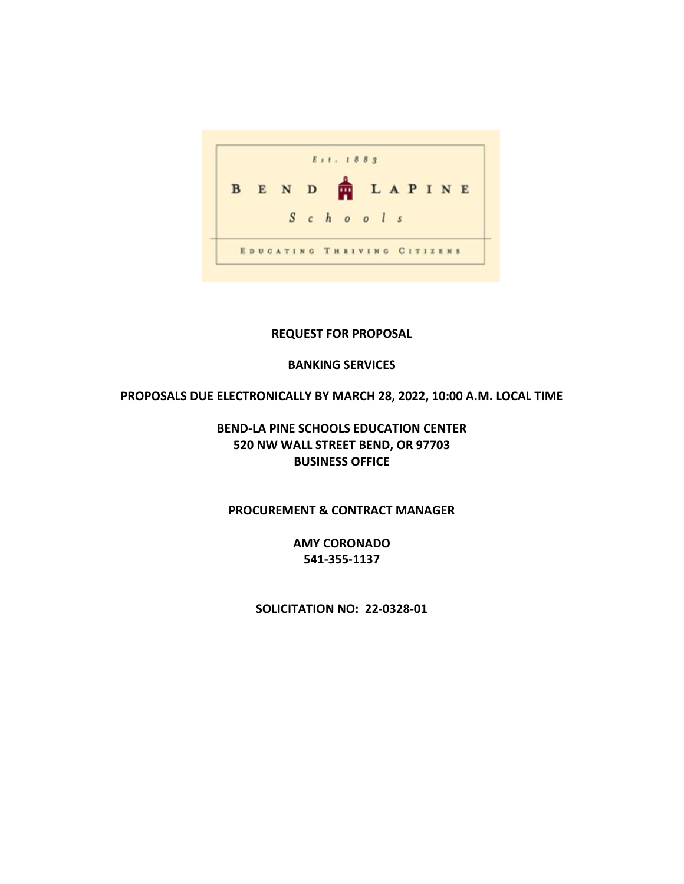

## **REQUEST FOR PROPOSAL**

## **BANKING SERVICES**

### **PROPOSALS DUE ELECTRONICALLY BY MARCH 28, 2022, 10:00 A.M. LOCAL TIME**

# **BEND-LA PINE SCHOOLS EDUCATION CENTER 520 NW WALL STREET BEND, OR 97703 BUSINESS OFFICE**

# **PROCUREMENT & CONTRACT MANAGER**

**AMY CORONADO 541-355-1137**

**SOLICITATION NO: 22-0328-01**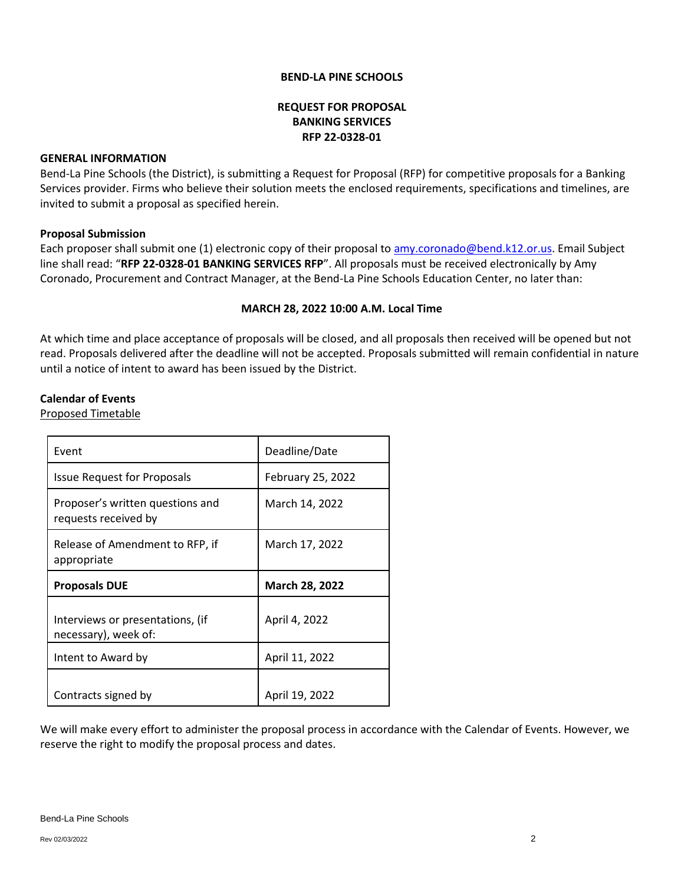#### **BEND-LA PINE SCHOOLS**

### **REQUEST FOR PROPOSAL BANKING SERVICES RFP 22-0328-01**

#### **GENERAL INFORMATION**

Bend-La Pine Schools (the District), is submitting a Request for Proposal (RFP) for competitive proposals for a Banking Services provider. Firms who believe their solution meets the enclosed requirements, specifications and timelines, are invited to submit a proposal as specified herein.

### **Proposal Submission**

Each proposer shall submit one (1) electronic copy of their proposal t[o amy.coronado@bend.k12.or.us.](mailto:amy.coronado@bend.k12.or.us) Email Subject line shall read: "**RFP 22-0328-01 BANKING SERVICES RFP**". All proposals must be received electronically by Amy Coronado, Procurement and Contract Manager, at the Bend-La Pine Schools Education Center, no later than:

### **MARCH 28, 2022 10:00 A.M. Local Time**

At which time and place acceptance of proposals will be closed, and all proposals then received will be opened but not read. Proposals delivered after the deadline will not be accepted. Proposals submitted will remain confidential in nature until a notice of intent to award has been issued by the District.

### **Calendar of Events**

Proposed Timetable

| Event                                                    | Deadline/Date         |
|----------------------------------------------------------|-----------------------|
| <b>Issue Request for Proposals</b>                       | February 25, 2022     |
| Proposer's written questions and<br>requests received by | March 14, 2022        |
| Release of Amendment to RFP, if<br>appropriate           | March 17, 2022        |
|                                                          |                       |
| <b>Proposals DUE</b>                                     | <b>March 28, 2022</b> |
| Interviews or presentations, (if<br>necessary), week of: | April 4, 2022         |
| Intent to Award by                                       | April 11, 2022        |

We will make every effort to administer the proposal process in accordance with the Calendar of Events. However, we reserve the right to modify the proposal process and dates.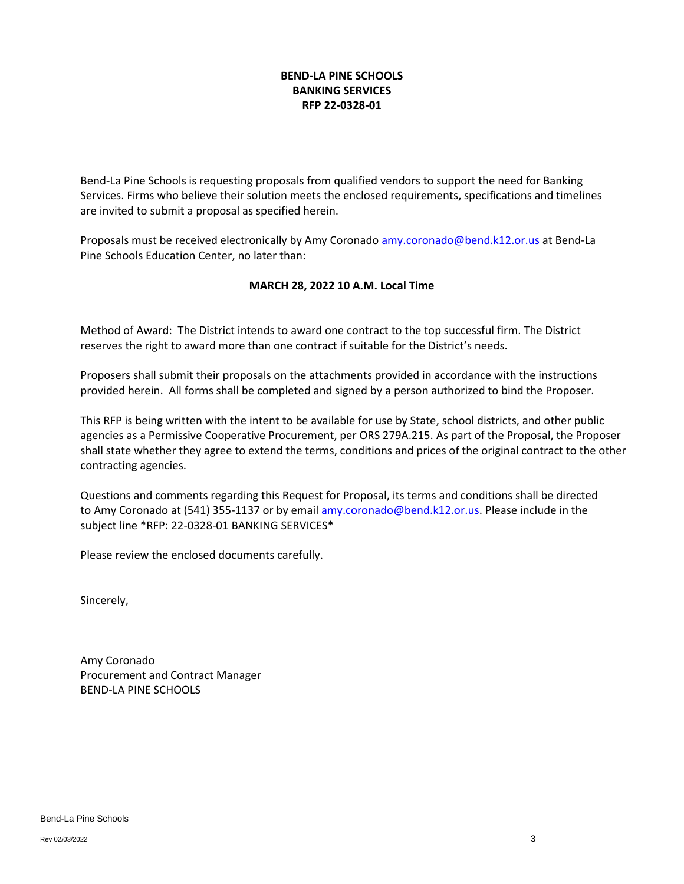## **BEND-LA PINE SCHOOLS BANKING SERVICES RFP 22-0328-01**

Bend-La Pine Schools is requesting proposals from qualified vendors to support the need for Banking Services. Firms who believe their solution meets the enclosed requirements, specifications and timelines are invited to submit a proposal as specified herein.

Proposals must be received electronically by Amy Coronado [amy.coronado@bend.k12.or.us](mailto:amy.coronado@bend.k12.or.us) at Bend-La Pine Schools Education Center, no later than:

## **MARCH 28, 2022 10 A.M. Local Time**

Method of Award: The District intends to award one contract to the top successful firm. The District reserves the right to award more than one contract if suitable for the District's needs.

Proposers shall submit their proposals on the attachments provided in accordance with the instructions provided herein. All forms shall be completed and signed by a person authorized to bind the Proposer.

This RFP is being written with the intent to be available for use by State, school districts, and other public agencies as a Permissive Cooperative Procurement, per ORS 279A.215. As part of the Proposal, the Proposer shall state whether they agree to extend the terms, conditions and prices of the original contract to the other contracting agencies.

Questions and comments regarding this Request for Proposal, its terms and conditions shall be directed to Amy Coronado at (541) 355-1137 or by emai[l amy.coronado@bend.k12.or.us.](mailto:amy.coronado@bend.k12.or.us) Please include in the subject line \*RFP: 22-0328-01 BANKING SERVICES\*

Please review the enclosed documents carefully.

Sincerely,

Amy Coronado Procurement and Contract Manager BEND-LA PINE SCHOOLS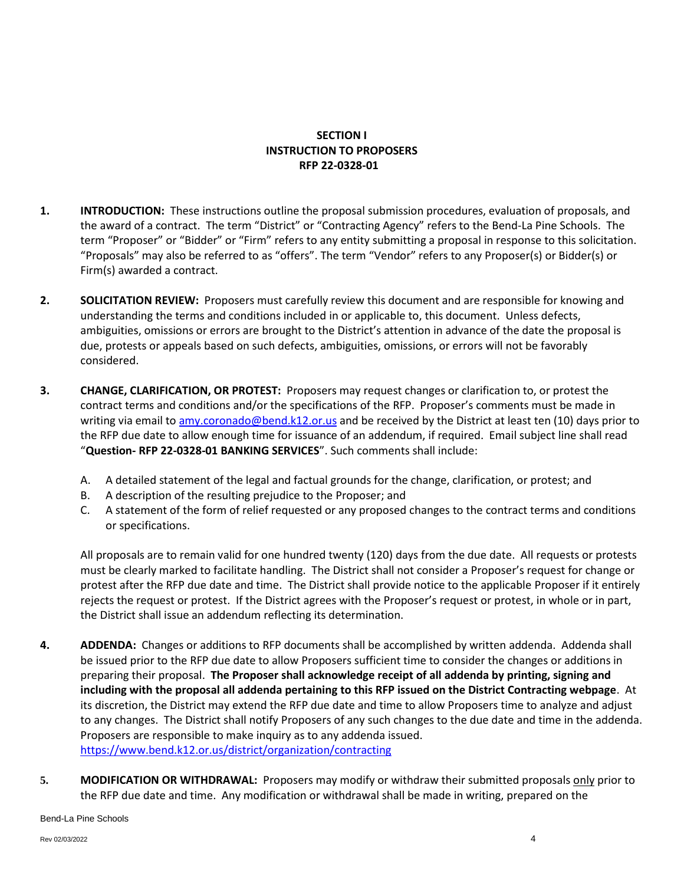# **SECTION I INSTRUCTION TO PROPOSERS RFP 22-0328-01**

- **1. INTRODUCTION:** These instructions outline the proposal submission procedures, evaluation of proposals, and the award of a contract. The term "District" or "Contracting Agency" refers to the Bend-La Pine Schools. The term "Proposer" or "Bidder" or "Firm" refers to any entity submitting a proposal in response to this solicitation. "Proposals" may also be referred to as "offers". The term "Vendor" refers to any Proposer(s) or Bidder(s) or Firm(s) awarded a contract.
- **2. SOLICITATION REVIEW:** Proposers must carefully review this document and are responsible for knowing and understanding the terms and conditions included in or applicable to, this document. Unless defects, ambiguities, omissions or errors are brought to the District's attention in advance of the date the proposal is due, protests or appeals based on such defects, ambiguities, omissions, or errors will not be favorably considered.
- **3. CHANGE, CLARIFICATION, OR PROTEST:** Proposers may request changes or clarification to, or protest the contract terms and conditions and/or the specifications of the RFP. Proposer's comments must be made in writing via email to [amy.coronado@bend.k12.or.us](mailto:amy.coronado@bend.k12.or.us) and be received by the District at least ten (10) days prior to the RFP due date to allow enough time for issuance of an addendum, if required. Email subject line shall read "**Question- RFP 22-0328-01 BANKING SERVICES**". Such comments shall include:
	- A. A detailed statement of the legal and factual grounds for the change, clarification, or protest; and
	- B. A description of the resulting prejudice to the Proposer; and
	- C. A statement of the form of relief requested or any proposed changes to the contract terms and conditions or specifications.

All proposals are to remain valid for one hundred twenty (120) days from the due date. All requests or protests must be clearly marked to facilitate handling. The District shall not consider a Proposer's request for change or protest after the RFP due date and time. The District shall provide notice to the applicable Proposer if it entirely rejects the request or protest. If the District agrees with the Proposer's request or protest, in whole or in part, the District shall issue an addendum reflecting its determination.

- **4. ADDENDA:** Changes or additions to RFP documents shall be accomplished by written addenda. Addenda shall be issued prior to the RFP due date to allow Proposers sufficient time to consider the changes or additions in preparing their proposal. **The Proposer shall acknowledge receipt of all addenda by printing, signing and including with the proposal all addenda pertaining to this RFP issued on the District Contracting webpage**. At its discretion, the District may extend the RFP due date and time to allow Proposers time to analyze and adjust to any changes. The District shall notify Proposers of any such changes to the due date and time in the addenda. Proposers are responsible to make inquiry as to any addenda issued. <https://www.bend.k12.or.us/district/organization/contracting>
- **5. MODIFICATION OR WITHDRAWAL:** Proposers may modify or withdraw their submitted proposals only prior to the RFP due date and time. Any modification or withdrawal shall be made in writing, prepared on the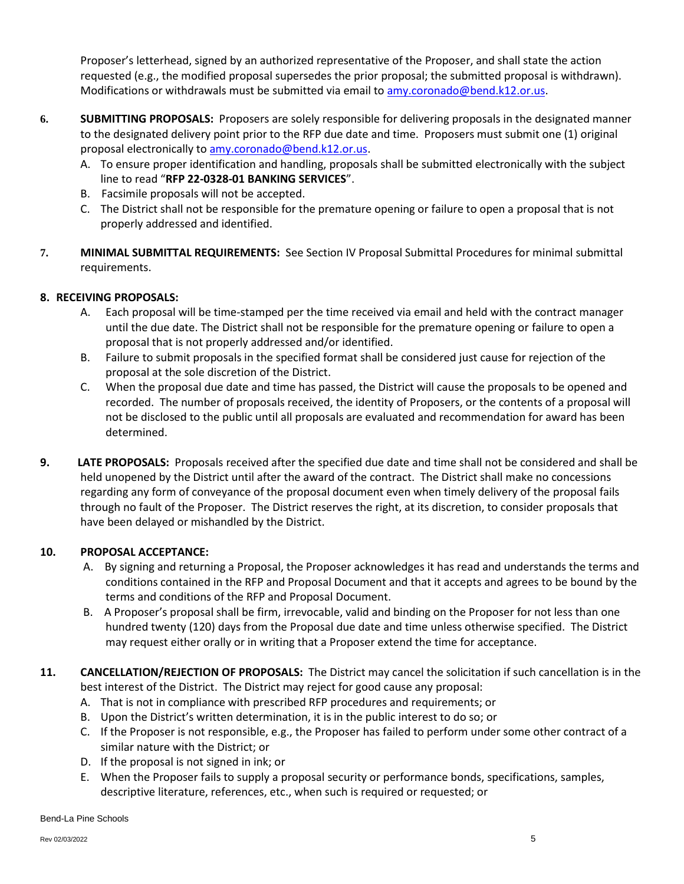Proposer's letterhead, signed by an authorized representative of the Proposer, and shall state the action requested (e.g., the modified proposal supersedes the prior proposal; the submitted proposal is withdrawn). Modifications or withdrawals must be submitted via email t[o amy.coronado@bend.k12.or.us.](mailto:amy.coronado@bend.k12.or.us)

- **6. SUBMITTING PROPOSALS:** Proposers are solely responsible for delivering proposals in the designated manner to the designated delivery point prior to the RFP due date and time. Proposers must submit one (1) original proposal electronically t[o amy.coronado@bend.k12.or.us.](mailto:amy.coronado@bend.k12.or.us)
	- A. To ensure proper identification and handling, proposals shall be submitted electronically with the subject line to read "**RFP 22-0328-01 BANKING SERVICES**".
	- B. Facsimile proposals will not be accepted.
	- C. The District shall not be responsible for the premature opening or failure to open a proposal that is not properly addressed and identified.
- **7. MINIMAL SUBMITTAL REQUIREMENTS:** See Section IV Proposal Submittal Procedures for minimal submittal requirements.

# **8. RECEIVING PROPOSALS:**

- A. Each proposal will be time-stamped per the time received via email and held with the contract manager until the due date. The District shall not be responsible for the premature opening or failure to open a proposal that is not properly addressed and/or identified.
- B. Failure to submit proposals in the specified format shall be considered just cause for rejection of the proposal at the sole discretion of the District.
- C. When the proposal due date and time has passed, the District will cause the proposals to be opened and recorded. The number of proposals received, the identity of Proposers, or the contents of a proposal will not be disclosed to the public until all proposals are evaluated and recommendation for award has been determined.
- **9. LATE PROPOSALS:** Proposals received after the specified due date and time shall not be considered and shall be held unopened by the District until after the award of the contract. The District shall make no concessions regarding any form of conveyance of the proposal document even when timely delivery of the proposal fails through no fault of the Proposer. The District reserves the right, at its discretion, to consider proposals that have been delayed or mishandled by the District.

# **10. PROPOSAL ACCEPTANCE:**

- A. By signing and returning a Proposal, the Proposer acknowledges it has read and understands the terms and conditions contained in the RFP and Proposal Document and that it accepts and agrees to be bound by the terms and conditions of the RFP and Proposal Document.
- B. A Proposer's proposal shall be firm, irrevocable, valid and binding on the Proposer for not less than one hundred twenty (120) days from the Proposal due date and time unless otherwise specified. The District may request either orally or in writing that a Proposer extend the time for acceptance.
- **11. CANCELLATION/REJECTION OF PROPOSALS:** The District may cancel the solicitation if such cancellation is in the best interest of the District. The District may reject for good cause any proposal:
	- A. That is not in compliance with prescribed RFP procedures and requirements; or
	- B. Upon the District's written determination, it is in the public interest to do so; or
	- C. If the Proposer is not responsible, e.g., the Proposer has failed to perform under some other contract of a similar nature with the District; or
	- D. If the proposal is not signed in ink; or
	- E. When the Proposer fails to supply a proposal security or performance bonds, specifications, samples, descriptive literature, references, etc., when such is required or requested; or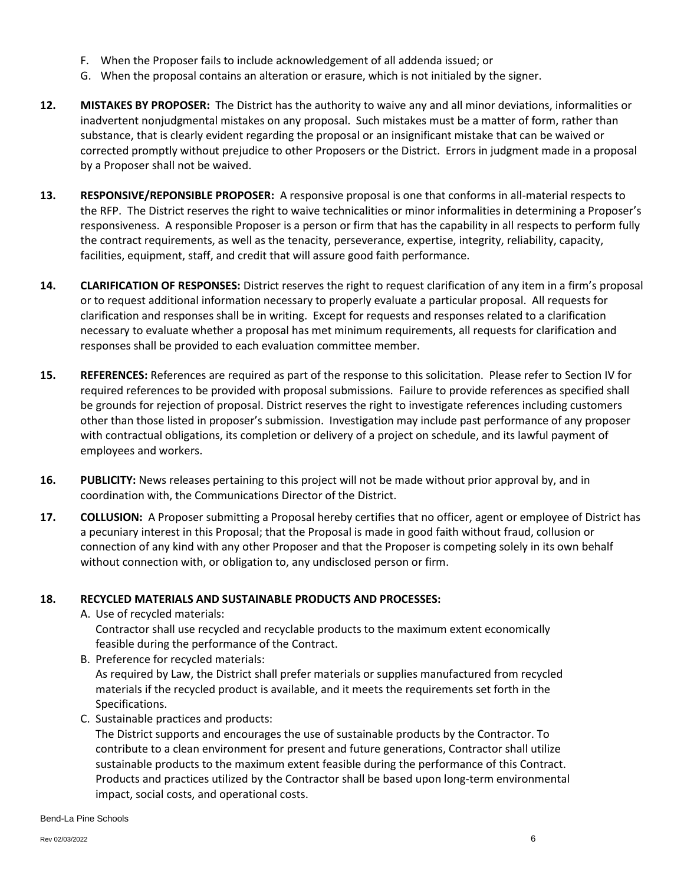- F. When the Proposer fails to include acknowledgement of all addenda issued; or
- G. When the proposal contains an alteration or erasure, which is not initialed by the signer.
- **12. MISTAKES BY PROPOSER:** The District has the authority to waive any and all minor deviations, informalities or inadvertent nonjudgmental mistakes on any proposal. Such mistakes must be a matter of form, rather than substance, that is clearly evident regarding the proposal or an insignificant mistake that can be waived or corrected promptly without prejudice to other Proposers or the District. Errors in judgment made in a proposal by a Proposer shall not be waived.
- **13. RESPONSIVE/REPONSIBLE PROPOSER:** A responsive proposal is one that conforms in all-material respects to the RFP. The District reserves the right to waive technicalities or minor informalities in determining a Proposer's responsiveness. A responsible Proposer is a person or firm that has the capability in all respects to perform fully the contract requirements, as well as the tenacity, perseverance, expertise, integrity, reliability, capacity, facilities, equipment, staff, and credit that will assure good faith performance.
- **14. CLARIFICATION OF RESPONSES:** District reserves the right to request clarification of any item in a firm's proposal or to request additional information necessary to properly evaluate a particular proposal. All requests for clarification and responses shall be in writing. Except for requests and responses related to a clarification necessary to evaluate whether a proposal has met minimum requirements, all requests for clarification and responses shall be provided to each evaluation committee member.
- **15. REFERENCES:** References are required as part of the response to this solicitation. Please refer to Section IV for required references to be provided with proposal submissions. Failure to provide references as specified shall be grounds for rejection of proposal. District reserves the right to investigate references including customers other than those listed in proposer's submission. Investigation may include past performance of any proposer with contractual obligations, its completion or delivery of a project on schedule, and its lawful payment of employees and workers.
- **16. PUBLICITY:** News releases pertaining to this project will not be made without prior approval by, and in coordination with, the Communications Director of the District.
- **17. COLLUSION:** A Proposer submitting a Proposal hereby certifies that no officer, agent or employee of District has a pecuniary interest in this Proposal; that the Proposal is made in good faith without fraud, collusion or connection of any kind with any other Proposer and that the Proposer is competing solely in its own behalf without connection with, or obligation to, any undisclosed person or firm.

### **18. RECYCLED MATERIALS AND SUSTAINABLE PRODUCTS AND PROCESSES:**

- A. Use of recycled materials:
	- Contractor shall use recycled and recyclable products to the maximum extent economically feasible during the performance of the Contract.
- B. Preference for recycled materials: As required by Law, the District shall prefer materials or supplies manufactured from recycled materials if the recycled product is available, and it meets the requirements set forth in the Specifications.
- C. Sustainable practices and products:

The District supports and encourages the use of sustainable products by the Contractor. To contribute to a clean environment for present and future generations, Contractor shall utilize sustainable products to the maximum extent feasible during the performance of this Contract. Products and practices utilized by the Contractor shall be based upon long-term environmental impact, social costs, and operational costs.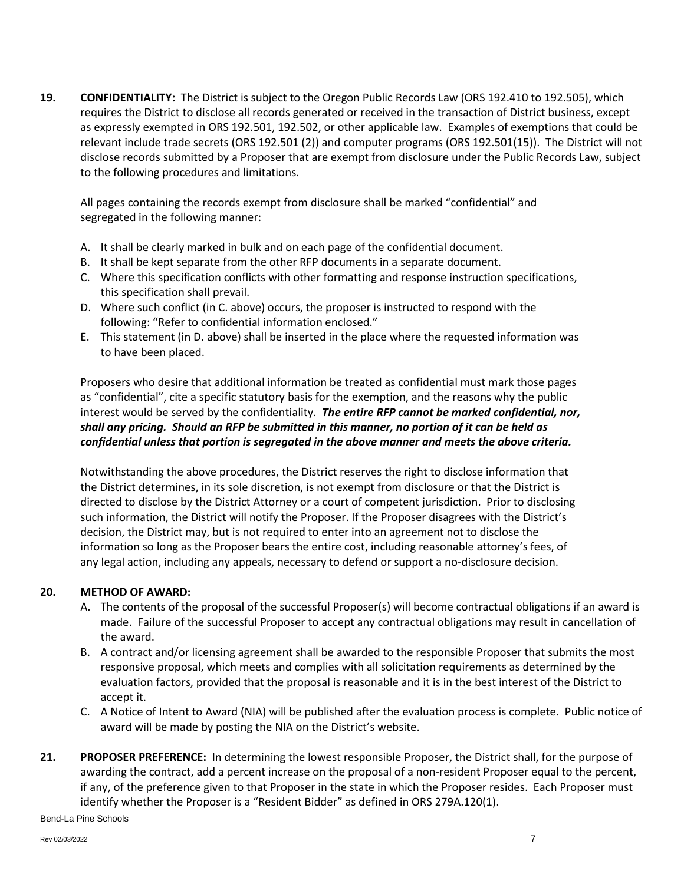**19. CONFIDENTIALITY:** The District is subject to the Oregon Public Records Law (ORS 192.410 to 192.505), which requires the District to disclose all records generated or received in the transaction of District business, except as expressly exempted in ORS 192.501, 192.502, or other applicable law. Examples of exemptions that could be relevant include trade secrets (ORS 192.501 (2)) and computer programs (ORS 192.501(15)). The District will not disclose records submitted by a Proposer that are exempt from disclosure under the Public Records Law, subject to the following procedures and limitations.

All pages containing the records exempt from disclosure shall be marked "confidential" and segregated in the following manner:

- A. It shall be clearly marked in bulk and on each page of the confidential document.
- B. It shall be kept separate from the other RFP documents in a separate document.
- C. Where this specification conflicts with other formatting and response instruction specifications, this specification shall prevail.
- D. Where such conflict (in C. above) occurs, the proposer is instructed to respond with the following: "Refer to confidential information enclosed."
- E. This statement (in D. above) shall be inserted in the place where the requested information was to have been placed.

Proposers who desire that additional information be treated as confidential must mark those pages as "confidential", cite a specific statutory basis for the exemption, and the reasons why the public interest would be served by the confidentiality. *The entire RFP cannot be marked confidential, nor, shall any pricing. Should an RFP be submitted in this manner, no portion of it can be held as confidential unless that portion is segregated in the above manner and meets the above criteria.*

Notwithstanding the above procedures, the District reserves the right to disclose information that the District determines, in its sole discretion, is not exempt from disclosure or that the District is directed to disclose by the District Attorney or a court of competent jurisdiction. Prior to disclosing such information, the District will notify the Proposer. If the Proposer disagrees with the District's decision, the District may, but is not required to enter into an agreement not to disclose the information so long as the Proposer bears the entire cost, including reasonable attorney's fees, of any legal action, including any appeals, necessary to defend or support a no-disclosure decision.

### **20. METHOD OF AWARD:**

- A. The contents of the proposal of the successful Proposer(s) will become contractual obligations if an award is made. Failure of the successful Proposer to accept any contractual obligations may result in cancellation of the award.
- B. A contract and/or licensing agreement shall be awarded to the responsible Proposer that submits the most responsive proposal, which meets and complies with all solicitation requirements as determined by the evaluation factors, provided that the proposal is reasonable and it is in the best interest of the District to accept it.
- C. A Notice of Intent to Award (NIA) will be published after the evaluation process is complete. Public notice of award will be made by posting the NIA on the District's website.
- **21. PROPOSER PREFERENCE:** In determining the lowest responsible Proposer, the District shall, for the purpose of awarding the contract, add a percent increase on the proposal of a non-resident Proposer equal to the percent, if any, of the preference given to that Proposer in the state in which the Proposer resides. Each Proposer must identify whether the Proposer is a "Resident Bidder" as defined in ORS 279A.120(1).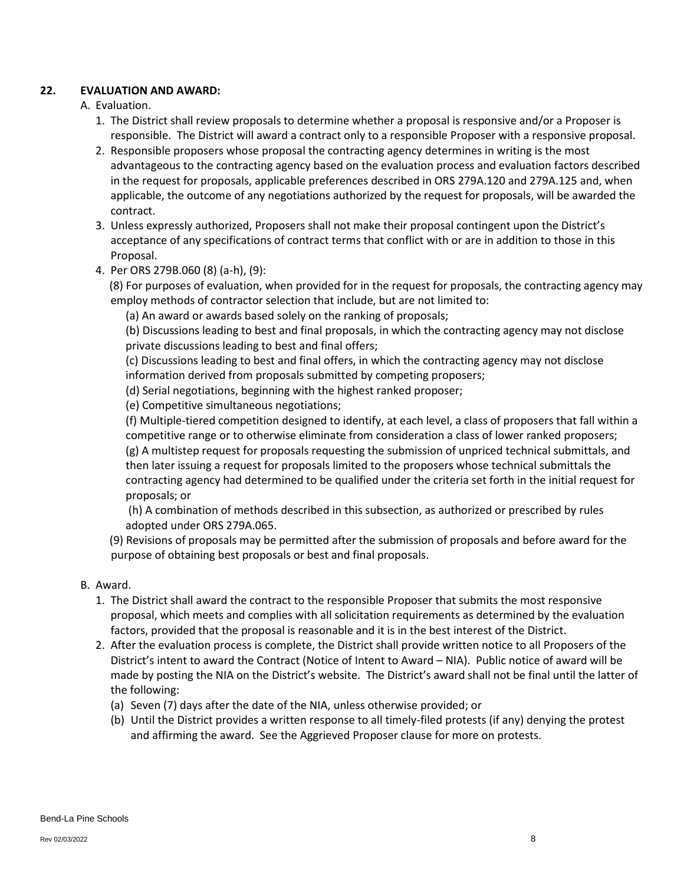## **22. EVALUATION AND AWARD:**

# A. Evaluation.

- 1. The District shall review proposals to determine whether a proposal is responsive and/or a Proposer is responsible. The District will award a contract only to a responsible Proposer with a responsive proposal.
- 2. Responsible proposers whose proposal the contracting agency determines in writing is the most advantageous to the contracting agency based on the evaluation process and evaluation factors described in the request for proposals, applicable preferences described in ORS 279A.120 and 279A.125 and, when applicable, the outcome of any negotiations authorized by the request for proposals, will be awarded the contract.
- 3. Unless expressly authorized, Proposers shall not make their proposal contingent upon the District's acceptance of any specifications of contract terms that conflict with or are in addition to those in this Proposal.
- 4. Per ORS 279B.060 (8) (a-h), (9):

 (8) For purposes of evaluation, when provided for in the request for proposals, the contracting agency may employ methods of contractor selection that include, but are not limited to:

(a) An award or awards based solely on the ranking of proposals;

 (b) Discussions leading to best and final proposals, in which the contracting agency may not disclose private discussions leading to best and final offers;

 (c) Discussions leading to best and final offers, in which the contracting agency may not disclose information derived from proposals submitted by competing proposers;

- (d) Serial negotiations, beginning with the highest ranked proposer;
- (e) Competitive simultaneous negotiations;

 (f) Multiple-tiered competition designed to identify, at each level, a class of proposers that fall within a competitive range or to otherwise eliminate from consideration a class of lower ranked proposers; (g) A multistep request for proposals requesting the submission of unpriced technical submittals, and then later issuing a request for proposals limited to the proposers whose technical submittals the contracting agency had determined to be qualified under the criteria set forth in the initial request for proposals; or

 (h) A combination of methods described in this subsection, as authorized or prescribed by rules adopted under ORS 279A.065.

- (9) Revisions of proposals may be permitted after the submission of proposals and before award for the purpose of obtaining best proposals or best and final proposals.
- B. Award.
	- 1. The District shall award the contract to the responsible Proposer that submits the most responsive proposal, which meets and complies with all solicitation requirements as determined by the evaluation factors, provided that the proposal is reasonable and it is in the best interest of the District.
	- 2. After the evaluation process is complete, the District shall provide written notice to all Proposers of the District's intent to award the Contract (Notice of Intent to Award – NIA). Public notice of award will be made by posting the NIA on the District's website. The District's award shall not be final until the latter of the following:
		- (a) Seven (7) days after the date of the NIA, unless otherwise provided; or
		- (b) Until the District provides a written response to all timely-filed protests (if any) denying the protest and affirming the award. See the Aggrieved Proposer clause for more on protests.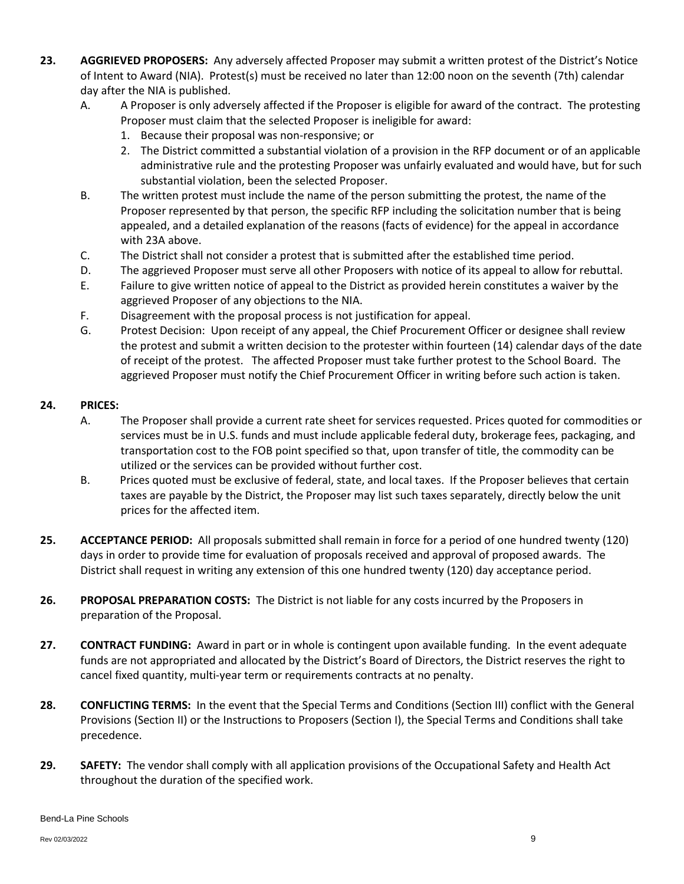- **23. AGGRIEVED PROPOSERS:** Any adversely affected Proposer may submit a written protest of the District's Notice of Intent to Award (NIA). Protest(s) must be received no later than 12:00 noon on the seventh (7th) calendar day after the NIA is published.
	- A. A Proposer is only adversely affected if the Proposer is eligible for award of the contract. The protesting Proposer must claim that the selected Proposer is ineligible for award:
		- 1. Because their proposal was non-responsive; or
		- 2. The District committed a substantial violation of a provision in the RFP document or of an applicable administrative rule and the protesting Proposer was unfairly evaluated and would have, but for such substantial violation, been the selected Proposer.
	- B. The written protest must include the name of the person submitting the protest, the name of the Proposer represented by that person, the specific RFP including the solicitation number that is being appealed, and a detailed explanation of the reasons (facts of evidence) for the appeal in accordance with 23A above.
	- C. The District shall not consider a protest that is submitted after the established time period.
	- D. The aggrieved Proposer must serve all other Proposers with notice of its appeal to allow for rebuttal.
	- E. Failure to give written notice of appeal to the District as provided herein constitutes a waiver by the aggrieved Proposer of any objections to the NIA.
	- F. Disagreement with the proposal process is not justification for appeal.
	- G. Protest Decision: Upon receipt of any appeal, the Chief Procurement Officer or designee shall review the protest and submit a written decision to the protester within fourteen (14) calendar days of the date of receipt of the protest. The affected Proposer must take further protest to the School Board. The aggrieved Proposer must notify the Chief Procurement Officer in writing before such action is taken.

### **24. PRICES:**

- A. The Proposer shall provide a current rate sheet for services requested. Prices quoted for commodities or services must be in U.S. funds and must include applicable federal duty, brokerage fees, packaging, and transportation cost to the FOB point specified so that, upon transfer of title, the commodity can be utilized or the services can be provided without further cost.
- B. Prices quoted must be exclusive of federal, state, and local taxes. If the Proposer believes that certain taxes are payable by the District, the Proposer may list such taxes separately, directly below the unit prices for the affected item.
- **25. ACCEPTANCE PERIOD:** All proposals submitted shall remain in force for a period of one hundred twenty (120) days in order to provide time for evaluation of proposals received and approval of proposed awards. The District shall request in writing any extension of this one hundred twenty (120) day acceptance period.
- **26. PROPOSAL PREPARATION COSTS:** The District is not liable for any costs incurred by the Proposers in preparation of the Proposal.
- **27. CONTRACT FUNDING:** Award in part or in whole is contingent upon available funding. In the event adequate funds are not appropriated and allocated by the District's Board of Directors, the District reserves the right to cancel fixed quantity, multi-year term or requirements contracts at no penalty.
- **28. CONFLICTING TERMS:** In the event that the Special Terms and Conditions (Section III) conflict with the General Provisions (Section II) or the Instructions to Proposers (Section I), the Special Terms and Conditions shall take precedence.
- **29. SAFETY:** The vendor shall comply with all application provisions of the Occupational Safety and Health Act throughout the duration of the specified work.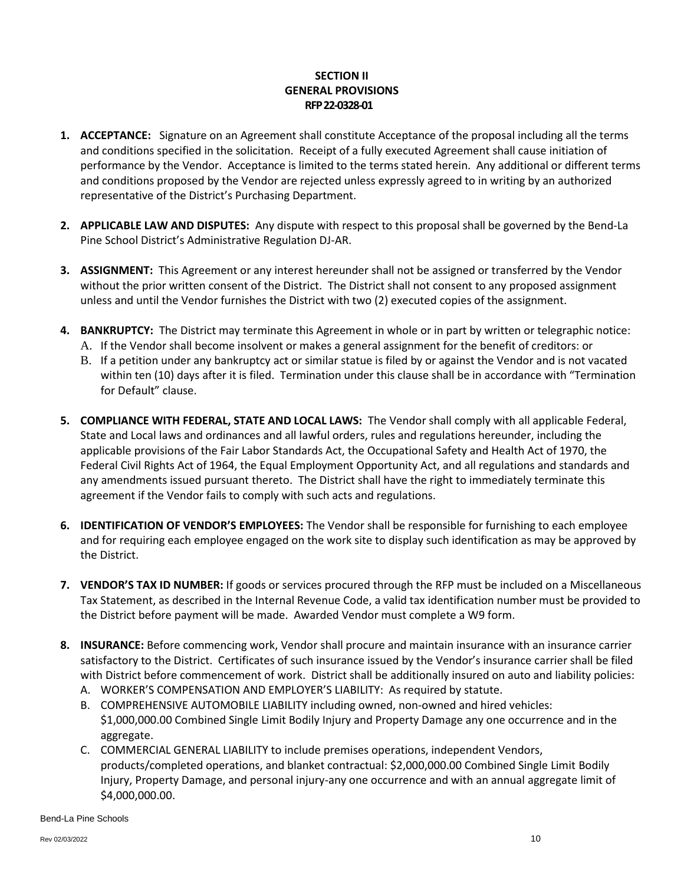## **SECTION II GENERAL PROVISIONS RFP 22-0328-01**

- **1. ACCEPTANCE:** Signature on an Agreement shall constitute Acceptance of the proposal including all the terms and conditions specified in the solicitation. Receipt of a fully executed Agreement shall cause initiation of performance by the Vendor. Acceptance is limited to the terms stated herein. Any additional or different terms and conditions proposed by the Vendor are rejected unless expressly agreed to in writing by an authorized representative of the District's Purchasing Department.
- **2. APPLICABLE LAW AND DISPUTES:** Any dispute with respect to this proposal shall be governed by the Bend-La Pine School District's Administrative Regulation DJ-AR.
- **3. ASSIGNMENT:** This Agreement or any interest hereunder shall not be assigned or transferred by the Vendor without the prior written consent of the District. The District shall not consent to any proposed assignment unless and until the Vendor furnishes the District with two (2) executed copies of the assignment.
- **4. BANKRUPTCY:** The District may terminate this Agreement in whole or in part by written or telegraphic notice: A. If the Vendor shall become insolvent or makes a general assignment for the benefit of creditors: or
	- B. If a petition under any bankruptcy act or similar statue is filed by or against the Vendor and is not vacated
	- within ten (10) days after it is filed. Termination under this clause shall be in accordance with "Termination for Default" clause.
- **5. COMPLIANCE WITH FEDERAL, STATE AND LOCAL LAWS:** The Vendor shall comply with all applicable Federal, State and Local laws and ordinances and all lawful orders, rules and regulations hereunder, including the applicable provisions of the Fair Labor Standards Act, the Occupational Safety and Health Act of 1970, the Federal Civil Rights Act of 1964, the Equal Employment Opportunity Act, and all regulations and standards and any amendments issued pursuant thereto. The District shall have the right to immediately terminate this agreement if the Vendor fails to comply with such acts and regulations.
- **6. IDENTIFICATION OF VENDOR'S EMPLOYEES:** The Vendor shall be responsible for furnishing to each employee and for requiring each employee engaged on the work site to display such identification as may be approved by the District.
- **7. VENDOR'S TAX ID NUMBER:** If goods or services procured through the RFP must be included on a Miscellaneous Tax Statement, as described in the Internal Revenue Code, a valid tax identification number must be provided to the District before payment will be made. Awarded Vendor must complete a W9 form.
- **8. INSURANCE:** Before commencing work, Vendor shall procure and maintain insurance with an insurance carrier satisfactory to the District. Certificates of such insurance issued by the Vendor's insurance carrier shall be filed with District before commencement of work. District shall be additionally insured on auto and liability policies:
	- A. WORKER'S COMPENSATION AND EMPLOYER'S LIABILITY: As required by statute.
	- B. COMPREHENSIVE AUTOMOBILE LIABILITY including owned, non-owned and hired vehicles: \$1,000,000.00 Combined Single Limit Bodily Injury and Property Damage any one occurrence and in the aggregate.
	- C. COMMERCIAL GENERAL LIABILITY to include premises operations, independent Vendors, products/completed operations, and blanket contractual: \$2,000,000.00 Combined Single Limit Bodily Injury, Property Damage, and personal injury-any one occurrence and with an annual aggregate limit of \$4,000,000.00.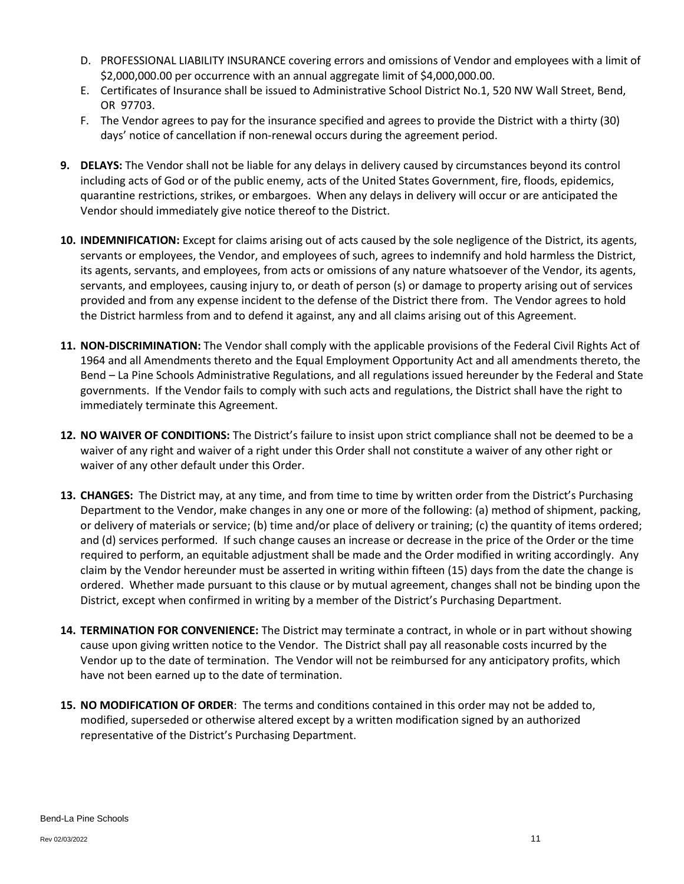- D. PROFESSIONAL LIABILITY INSURANCE covering errors and omissions of Vendor and employees with a limit of \$2,000,000.00 per occurrence with an annual aggregate limit of \$4,000,000.00.
- E. Certificates of Insurance shall be issued to Administrative School District No.1, 520 NW Wall Street, Bend, OR 97703.
- F. The Vendor agrees to pay for the insurance specified and agrees to provide the District with a thirty (30) days' notice of cancellation if non-renewal occurs during the agreement period.
- **9. DELAYS:** The Vendor shall not be liable for any delays in delivery caused by circumstances beyond its control including acts of God or of the public enemy, acts of the United States Government, fire, floods, epidemics, quarantine restrictions, strikes, or embargoes. When any delays in delivery will occur or are anticipated the Vendor should immediately give notice thereof to the District.
- **10. INDEMNIFICATION:** Except for claims arising out of acts caused by the sole negligence of the District, its agents, servants or employees, the Vendor, and employees of such, agrees to indemnify and hold harmless the District, its agents, servants, and employees, from acts or omissions of any nature whatsoever of the Vendor, its agents, servants, and employees, causing injury to, or death of person (s) or damage to property arising out of services provided and from any expense incident to the defense of the District there from. The Vendor agrees to hold the District harmless from and to defend it against, any and all claims arising out of this Agreement.
- **11. NON-DISCRIMINATION:** The Vendor shall comply with the applicable provisions of the Federal Civil Rights Act of 1964 and all Amendments thereto and the Equal Employment Opportunity Act and all amendments thereto, the Bend – La Pine Schools Administrative Regulations, and all regulations issued hereunder by the Federal and State governments. If the Vendor fails to comply with such acts and regulations, the District shall have the right to immediately terminate this Agreement.
- **12. NO WAIVER OF CONDITIONS:** The District's failure to insist upon strict compliance shall not be deemed to be a waiver of any right and waiver of a right under this Order shall not constitute a waiver of any other right or waiver of any other default under this Order.
- **13. CHANGES:** The District may, at any time, and from time to time by written order from the District's Purchasing Department to the Vendor, make changes in any one or more of the following: (a) method of shipment, packing, or delivery of materials or service; (b) time and/or place of delivery or training; (c) the quantity of items ordered; and (d) services performed. If such change causes an increase or decrease in the price of the Order or the time required to perform, an equitable adjustment shall be made and the Order modified in writing accordingly. Any claim by the Vendor hereunder must be asserted in writing within fifteen (15) days from the date the change is ordered. Whether made pursuant to this clause or by mutual agreement, changes shall not be binding upon the District, except when confirmed in writing by a member of the District's Purchasing Department.
- **14. TERMINATION FOR CONVENIENCE:** The District may terminate a contract, in whole or in part without showing cause upon giving written notice to the Vendor. The District shall pay all reasonable costs incurred by the Vendor up to the date of termination. The Vendor will not be reimbursed for any anticipatory profits, which have not been earned up to the date of termination.
- **15. NO MODIFICATION OF ORDER**: The terms and conditions contained in this order may not be added to, modified, superseded or otherwise altered except by a written modification signed by an authorized representative of the District's Purchasing Department.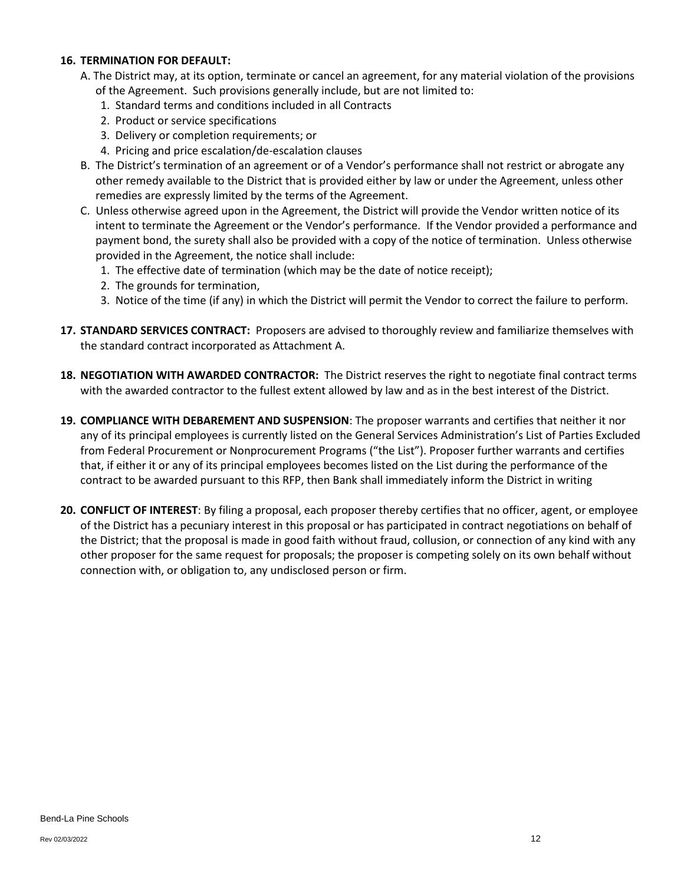### **16. TERMINATION FOR DEFAULT:**

- A. The District may, at its option, terminate or cancel an agreement, for any material violation of the provisions of the Agreement. Such provisions generally include, but are not limited to:
	- 1. Standard terms and conditions included in all Contracts
	- 2. Product or service specifications
	- 3. Delivery or completion requirements; or
	- 4. Pricing and price escalation/de-escalation clauses
- B. The District's termination of an agreement or of a Vendor's performance shall not restrict or abrogate any other remedy available to the District that is provided either by law or under the Agreement, unless other remedies are expressly limited by the terms of the Agreement.
- C. Unless otherwise agreed upon in the Agreement, the District will provide the Vendor written notice of its intent to terminate the Agreement or the Vendor's performance. If the Vendor provided a performance and payment bond, the surety shall also be provided with a copy of the notice of termination. Unless otherwise provided in the Agreement, the notice shall include:
	- 1. The effective date of termination (which may be the date of notice receipt);
	- 2. The grounds for termination,
	- 3. Notice of the time (if any) in which the District will permit the Vendor to correct the failure to perform.
- **17. STANDARD SERVICES CONTRACT:** Proposers are advised to thoroughly review and familiarize themselves with the standard contract incorporated as Attachment A.
- **18. NEGOTIATION WITH AWARDED CONTRACTOR:** The District reserves the right to negotiate final contract terms with the awarded contractor to the fullest extent allowed by law and as in the best interest of the District.
- **19. COMPLIANCE WITH DEBAREMENT AND SUSPENSION**: The proposer warrants and certifies that neither it nor any of its principal employees is currently listed on the General Services Administration's List of Parties Excluded from Federal Procurement or Nonprocurement Programs ("the List"). Proposer further warrants and certifies that, if either it or any of its principal employees becomes listed on the List during the performance of the contract to be awarded pursuant to this RFP, then Bank shall immediately inform the District in writing
- **20. CONFLICT OF INTEREST**: By filing a proposal, each proposer thereby certifies that no officer, agent, or employee of the District has a pecuniary interest in this proposal or has participated in contract negotiations on behalf of the District; that the proposal is made in good faith without fraud, collusion, or connection of any kind with any other proposer for the same request for proposals; the proposer is competing solely on its own behalf without connection with, or obligation to, any undisclosed person or firm.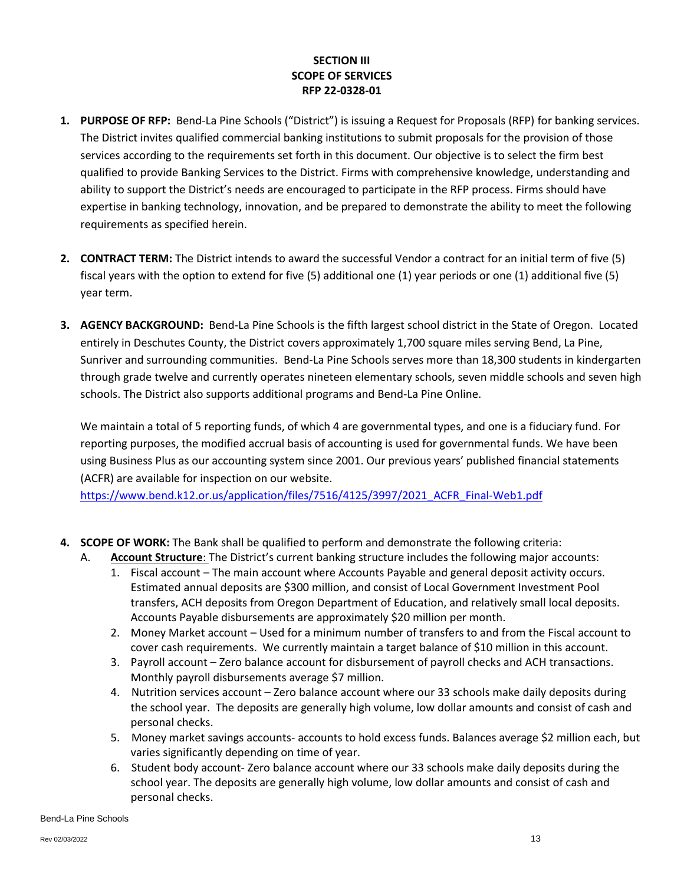# **SECTION III SCOPE OF SERVICES RFP 22-0328-01**

- **1. PURPOSE OF RFP:** Bend-La Pine Schools ("District") is issuing a Request for Proposals (RFP) for banking services. The District invites qualified commercial banking institutions to submit proposals for the provision of those services according to the requirements set forth in this document. Our objective is to select the firm best qualified to provide Banking Services to the District. Firms with comprehensive knowledge, understanding and ability to support the District's needs are encouraged to participate in the RFP process. Firms should have expertise in banking technology, innovation, and be prepared to demonstrate the ability to meet the following requirements as specified herein.
- **2. CONTRACT TERM:** The District intends to award the successful Vendor a contract for an initial term of five (5) fiscal years with the option to extend for five (5) additional one (1) year periods or one (1) additional five (5) year term.
- **3. AGENCY BACKGROUND:** Bend-La Pine Schools is the fifth largest school district in the State of Oregon. Located entirely in Deschutes County, the District covers approximately 1,700 square miles serving Bend, La Pine, Sunriver and surrounding communities. Bend-La Pine Schools serves more than 18,300 students in kindergarten through grade twelve and currently operates nineteen elementary schools, seven middle schools and seven high schools. The District also supports additional programs and Bend-La Pine Online.

We maintain a total of 5 reporting funds, of which 4 are governmental types, and one is a fiduciary fund. For reporting purposes, the modified accrual basis of accounting is used for governmental funds. We have been using Business Plus as our accounting system since 2001. Our previous years' published financial statements (ACFR) are available for inspection on our website.

[https://www.bend.k12.or.us/application/files/7516/4125/3997/2021\\_ACFR\\_Final-Web1.pdf](https://www.bend.k12.or.us/application/files/7516/4125/3997/2021_ACFR_Final-Web1.pdf)

- **4. SCOPE OF WORK:** The Bank shall be qualified to perform and demonstrate the following criteria:
	- A. **Account Structure**: The District's current banking structure includes the following major accounts:
		- 1. Fiscal account The main account where Accounts Payable and general deposit activity occurs. Estimated annual deposits are \$300 million, and consist of Local Government Investment Pool transfers, ACH deposits from Oregon Department of Education, and relatively small local deposits. Accounts Payable disbursements are approximately \$20 million per month.
		- 2. Money Market account Used for a minimum number of transfers to and from the Fiscal account to cover cash requirements. We currently maintain a target balance of \$10 million in this account.
		- 3. Payroll account Zero balance account for disbursement of payroll checks and ACH transactions. Monthly payroll disbursements average \$7 million.
		- 4. Nutrition services account Zero balance account where our 33 schools make daily deposits during the school year. The deposits are generally high volume, low dollar amounts and consist of cash and personal checks.
		- 5. Money market savings accounts- accounts to hold excess funds. Balances average \$2 million each, but varies significantly depending on time of year.
		- 6. Student body account- Zero balance account where our 33 schools make daily deposits during the school year. The deposits are generally high volume, low dollar amounts and consist of cash and personal checks.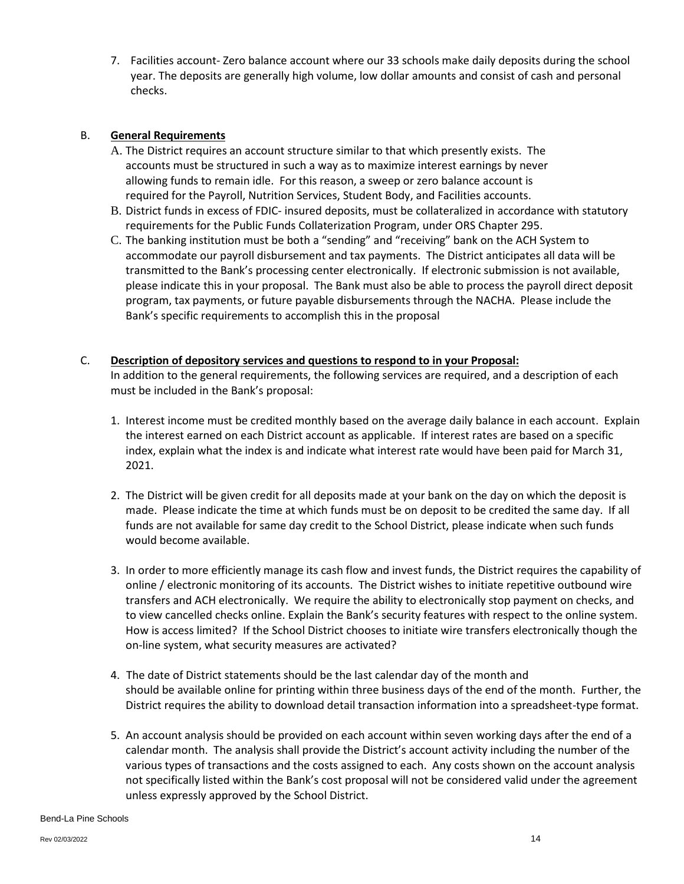7. Facilities account- Zero balance account where our 33 schools make daily deposits during the school year. The deposits are generally high volume, low dollar amounts and consist of cash and personal checks.

#### B. **General Requirements**

- A. The District requires an account structure similar to that which presently exists. The accounts must be structured in such a way as to maximize interest earnings by never allowing funds to remain idle. For this reason, a sweep or zero balance account is required for the Payroll, Nutrition Services, Student Body, and Facilities accounts.
- B. District funds in excess of FDIC- insured deposits, must be collateralized in accordance with statutory requirements for the Public Funds Collaterization Program, under ORS Chapter 295.
- C. The banking institution must be both a "sending" and "receiving" bank on the ACH System to accommodate our payroll disbursement and tax payments. The District anticipates all data will be transmitted to the Bank's processing center electronically. If electronic submission is not available, please indicate this in your proposal. The Bank must also be able to process the payroll direct deposit program, tax payments, or future payable disbursements through the NACHA. Please include the Bank's specific requirements to accomplish this in the proposal

#### C. **Description of depository services and questions to respond to in your Proposal:**

In addition to the general requirements, the following services are required, and a description of each must be included in the Bank's proposal:

- 1. Interest income must be credited monthly based on the average daily balance in each account. Explain the interest earned on each District account as applicable. If interest rates are based on a specific index, explain what the index is and indicate what interest rate would have been paid for March 31, 2021.
- 2. The District will be given credit for all deposits made at your bank on the day on which the deposit is made. Please indicate the time at which funds must be on deposit to be credited the same day. If all funds are not available for same day credit to the School District, please indicate when such funds would become available.
- 3. In order to more efficiently manage its cash flow and invest funds, the District requires the capability of online / electronic monitoring of its accounts. The District wishes to initiate repetitive outbound wire transfers and ACH electronically. We require the ability to electronically stop payment on checks, and to view cancelled checks online. Explain the Bank's security features with respect to the online system. How is access limited? If the School District chooses to initiate wire transfers electronically though the on-line system, what security measures are activated?
- 4. The date of District statements should be the last calendar day of the month and should be available online for printing within three business days of the end of the month. Further, the District requires the ability to download detail transaction information into a spreadsheet-type format.
- 5. An account analysis should be provided on each account within seven working days after the end of a calendar month. The analysis shall provide the District's account activity including the number of the various types of transactions and the costs assigned to each. Any costs shown on the account analysis not specifically listed within the Bank's cost proposal will not be considered valid under the agreement unless expressly approved by the School District.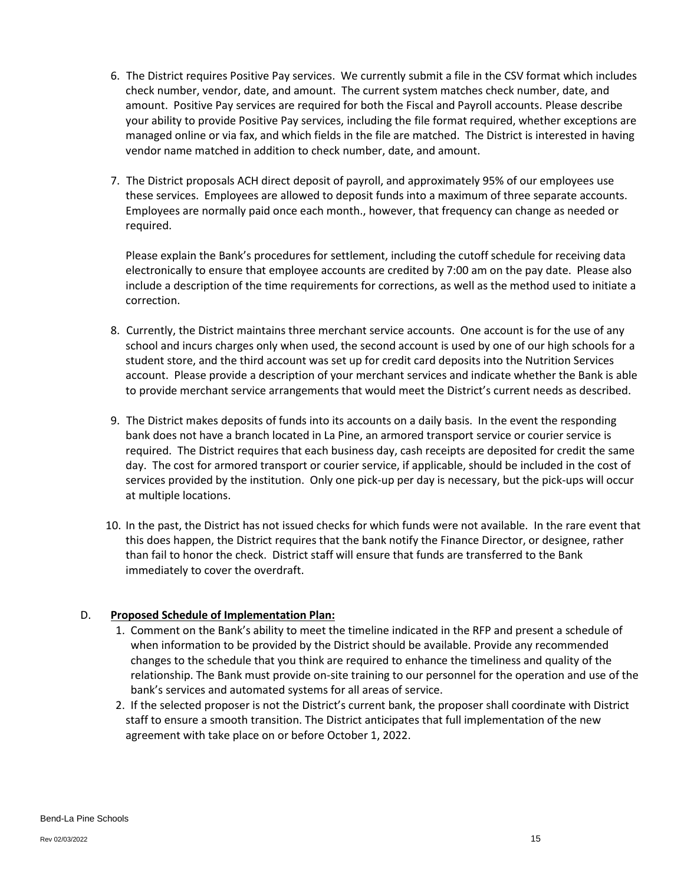- 6. The District requires Positive Pay services. We currently submit a file in the CSV format which includes check number, vendor, date, and amount. The current system matches check number, date, and amount. Positive Pay services are required for both the Fiscal and Payroll accounts. Please describe your ability to provide Positive Pay services, including the file format required, whether exceptions are managed online or via fax, and which fields in the file are matched. The District is interested in having vendor name matched in addition to check number, date, and amount.
- 7. The District proposals ACH direct deposit of payroll, and approximately 95% of our employees use these services. Employees are allowed to deposit funds into a maximum of three separate accounts. Employees are normally paid once each month., however, that frequency can change as needed or required.

Please explain the Bank's procedures for settlement, including the cutoff schedule for receiving data electronically to ensure that employee accounts are credited by 7:00 am on the pay date. Please also include a description of the time requirements for corrections, as well as the method used to initiate a correction.

- 8. Currently, the District maintains three merchant service accounts. One account is for the use of any school and incurs charges only when used, the second account is used by one of our high schools for a student store, and the third account was set up for credit card deposits into the Nutrition Services account. Please provide a description of your merchant services and indicate whether the Bank is able to provide merchant service arrangements that would meet the District's current needs as described.
- 9. The District makes deposits of funds into its accounts on a daily basis. In the event the responding bank does not have a branch located in La Pine, an armored transport service or courier service is required. The District requires that each business day, cash receipts are deposited for credit the same day. The cost for armored transport or courier service, if applicable, should be included in the cost of services provided by the institution. Only one pick-up per day is necessary, but the pick-ups will occur at multiple locations.
- 10. In the past, the District has not issued checks for which funds were not available. In the rare event that this does happen, the District requires that the bank notify the Finance Director, or designee, rather than fail to honor the check. District staff will ensure that funds are transferred to the Bank immediately to cover the overdraft.

# D. **Proposed Schedule of Implementation Plan:**

- 1. Comment on the Bank's ability to meet the timeline indicated in the RFP and present a schedule of when information to be provided by the District should be available. Provide any recommended changes to the schedule that you think are required to enhance the timeliness and quality of the relationship. The Bank must provide on-site training to our personnel for the operation and use of the bank's services and automated systems for all areas of service.
- 2. If the selected proposer is not the District's current bank, the proposer shall coordinate with District staff to ensure a smooth transition. The District anticipates that full implementation of the new agreement with take place on or before October 1, 2022.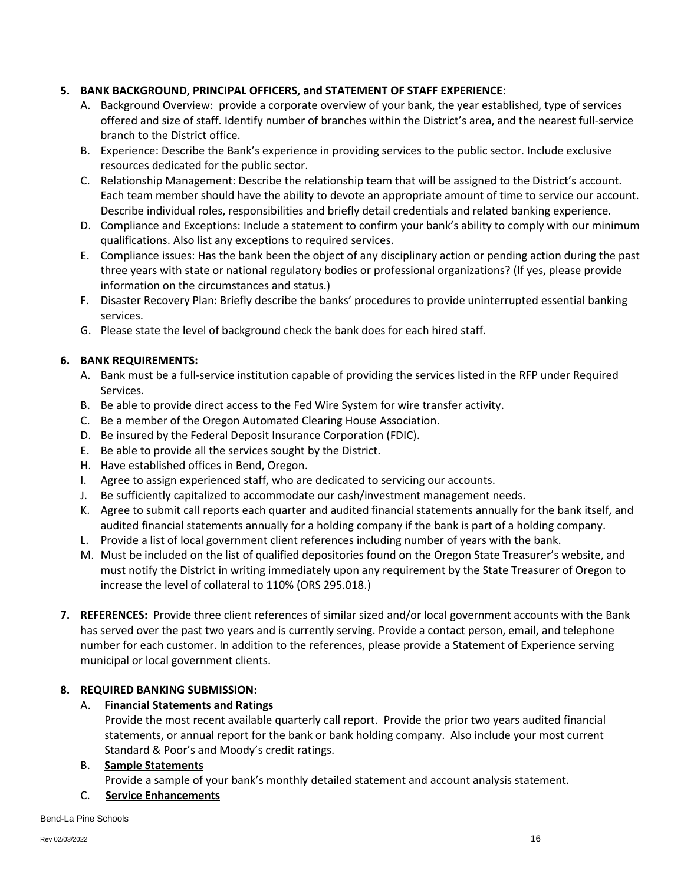## **5. BANK BACKGROUND, PRINCIPAL OFFICERS, and STATEMENT OF STAFF EXPERIENCE**:

- A. Background Overview: provide a corporate overview of your bank, the year established, type of services offered and size of staff. Identify number of branches within the District's area, and the nearest full-service branch to the District office.
- B. Experience: Describe the Bank's experience in providing services to the public sector. Include exclusive resources dedicated for the public sector.
- C. Relationship Management: Describe the relationship team that will be assigned to the District's account. Each team member should have the ability to devote an appropriate amount of time to service our account. Describe individual roles, responsibilities and briefly detail credentials and related banking experience.
- D. Compliance and Exceptions: Include a statement to confirm your bank's ability to comply with our minimum qualifications. Also list any exceptions to required services.
- E. Compliance issues: Has the bank been the object of any disciplinary action or pending action during the past three years with state or national regulatory bodies or professional organizations? (If yes, please provide information on the circumstances and status.)
- F. Disaster Recovery Plan: Briefly describe the banks' procedures to provide uninterrupted essential banking services.
- G. Please state the level of background check the bank does for each hired staff.

## **6. BANK REQUIREMENTS:**

- A. Bank must be a full-service institution capable of providing the services listed in the RFP under Required Services.
- B. Be able to provide direct access to the Fed Wire System for wire transfer activity.
- C. Be a member of the Oregon Automated Clearing House Association.
- D. Be insured by the Federal Deposit Insurance Corporation (FDIC).
- E. Be able to provide all the services sought by the District.
- H. Have established offices in Bend, Oregon.
- I. Agree to assign experienced staff, who are dedicated to servicing our accounts.
- J. Be sufficiently capitalized to accommodate our cash/investment management needs.
- K. Agree to submit call reports each quarter and audited financial statements annually for the bank itself, and audited financial statements annually for a holding company if the bank is part of a holding company.
- L. Provide a list of local government client references including number of years with the bank.
- M. Must be included on the list of qualified depositories found on the Oregon State Treasurer's website, and must notify the District in writing immediately upon any requirement by the State Treasurer of Oregon to increase the level of collateral to 110% (ORS 295.018.)
- **7. REFERENCES:** Provide three client references of similar sized and/or local government accounts with the Bank has served over the past two years and is currently serving. Provide a contact person, email, and telephone number for each customer. In addition to the references, please provide a Statement of Experience serving municipal or local government clients.

### **8. REQUIRED BANKING SUBMISSION:**

### A. **Financial Statements and Ratings**

Provide the most recent available quarterly call report. Provide the prior two years audited financial statements, or annual report for the bank or bank holding company. Also include your most current Standard & Poor's and Moody's credit ratings.

### B. **Sample Statements**

Provide a sample of your bank's monthly detailed statement and account analysis statement.

### C. **Service Enhancements**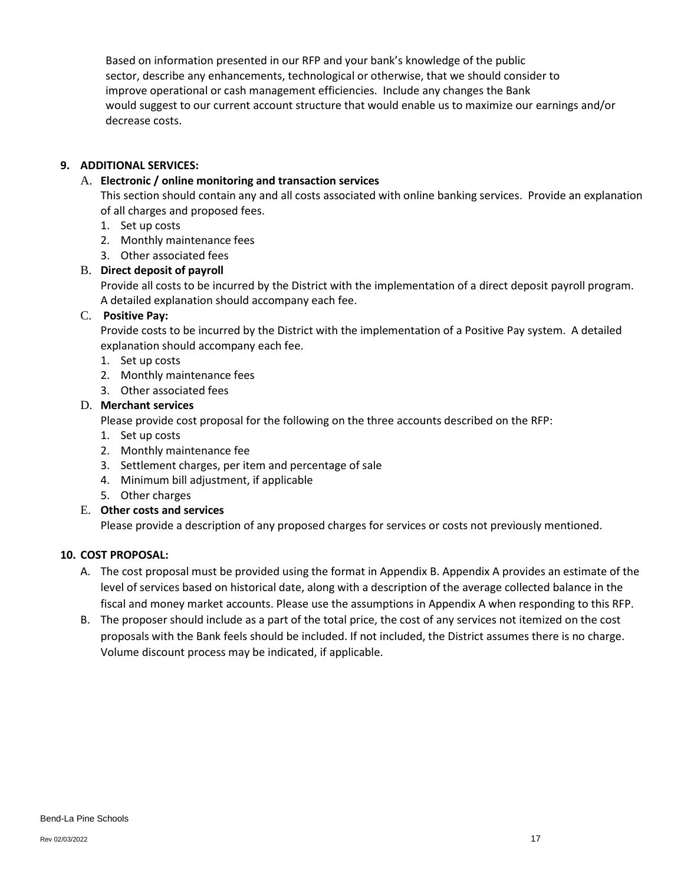Based on information presented in our RFP and your bank's knowledge of the public sector, describe any enhancements, technological or otherwise, that we should consider to improve operational or cash management efficiencies. Include any changes the Bank would suggest to our current account structure that would enable us to maximize our earnings and/or decrease costs.

## **9. ADDITIONAL SERVICES:**

## A. **Electronic / online monitoring and transaction services**

This section should contain any and all costs associated with online banking services. Provide an explanation of all charges and proposed fees.

- 1. Set up costs
- 2. Monthly maintenance fees
- 3. Other associated fees
- B. **Direct deposit of payroll**

Provide all costs to be incurred by the District with the implementation of a direct deposit payroll program. A detailed explanation should accompany each fee.

## C. **Positive Pay:**

Provide costs to be incurred by the District with the implementation of a Positive Pay system. A detailed explanation should accompany each fee.

- 1. Set up costs
- 2. Monthly maintenance fees
- 3. Other associated fees

## D. **Merchant services**

Please provide cost proposal for the following on the three accounts described on the RFP:

- 1. Set up costs
- 2. Monthly maintenance fee
- 3. Settlement charges, per item and percentage of sale
- 4. Minimum bill adjustment, if applicable
- 5. Other charges

# E. **Other costs and services**

Please provide a description of any proposed charges for services or costs not previously mentioned.

### **10. COST PROPOSAL:**

- A. The cost proposal must be provided using the format in Appendix B. Appendix A provides an estimate of the level of services based on historical date, along with a description of the average collected balance in the fiscal and money market accounts. Please use the assumptions in Appendix A when responding to this RFP.
- B. The proposer should include as a part of the total price, the cost of any services not itemized on the cost proposals with the Bank feels should be included. If not included, the District assumes there is no charge. Volume discount process may be indicated, if applicable.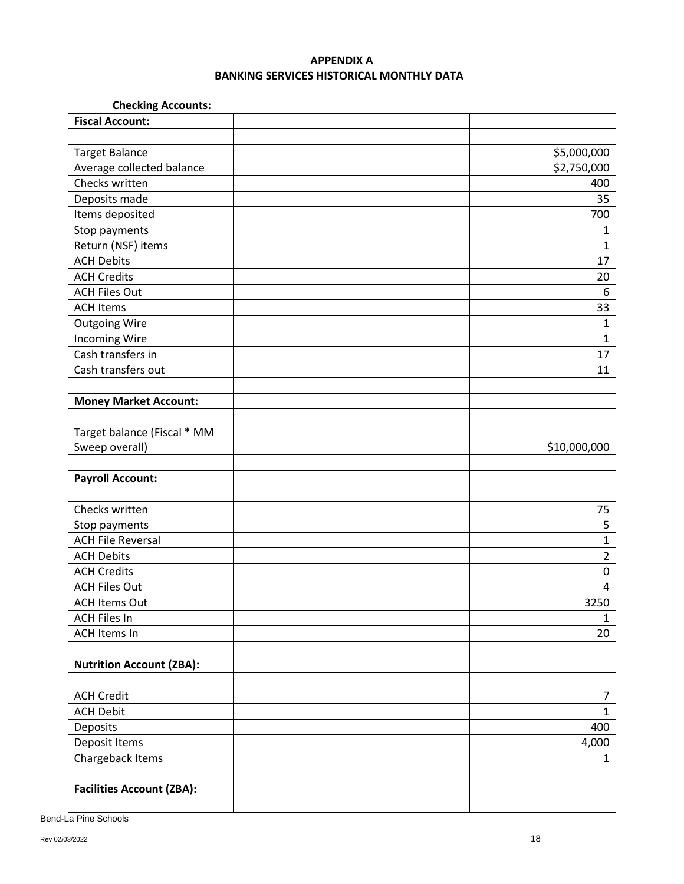## **APPENDIX A BANKING SERVICES HISTORICAL MONTHLY DATA**

# **Checking Accounts:**

| <b>Fiscal Account:</b>           |                |
|----------------------------------|----------------|
|                                  |                |
| <b>Target Balance</b>            | \$5,000,000    |
| Average collected balance        | \$2,750,000    |
| Checks written                   | 400            |
| Deposits made                    | 35             |
| Items deposited                  | 700            |
| Stop payments                    | 1              |
| Return (NSF) items               | $\mathbf{1}$   |
| <b>ACH Debits</b>                | 17             |
| <b>ACH Credits</b>               | 20             |
| <b>ACH Files Out</b>             | 6              |
| <b>ACH Items</b>                 | 33             |
| <b>Outgoing Wire</b>             | $\mathbf{1}$   |
| <b>Incoming Wire</b>             | $\mathbf{1}$   |
| Cash transfers in                | 17             |
| Cash transfers out               | 11             |
|                                  |                |
| <b>Money Market Account:</b>     |                |
|                                  |                |
| Target balance (Fiscal * MM      |                |
| Sweep overall)                   | \$10,000,000   |
|                                  |                |
| <b>Payroll Account:</b>          |                |
|                                  |                |
| Checks written                   | 75             |
| Stop payments                    | 5              |
| <b>ACH File Reversal</b>         | $\overline{1}$ |
| <b>ACH Debits</b>                | $\overline{2}$ |
| <b>ACH Credits</b>               | $\pmb{0}$      |
| <b>ACH Files Out</b>             | 4              |
| <b>ACH Items Out</b>             | 3250           |
| <b>ACH Files In</b>              | $\mathbf{1}$   |
| <b>ACH Items In</b>              | 20             |
|                                  |                |
| <b>Nutrition Account (ZBA):</b>  |                |
| <b>ACH Credit</b>                | $\overline{7}$ |
| <b>ACH Debit</b>                 | $\mathbf{1}$   |
| Deposits                         | 400            |
| Deposit Items                    | 4,000          |
| Chargeback Items                 | $\mathbf{1}$   |
|                                  |                |
| <b>Facilities Account (ZBA):</b> |                |
|                                  |                |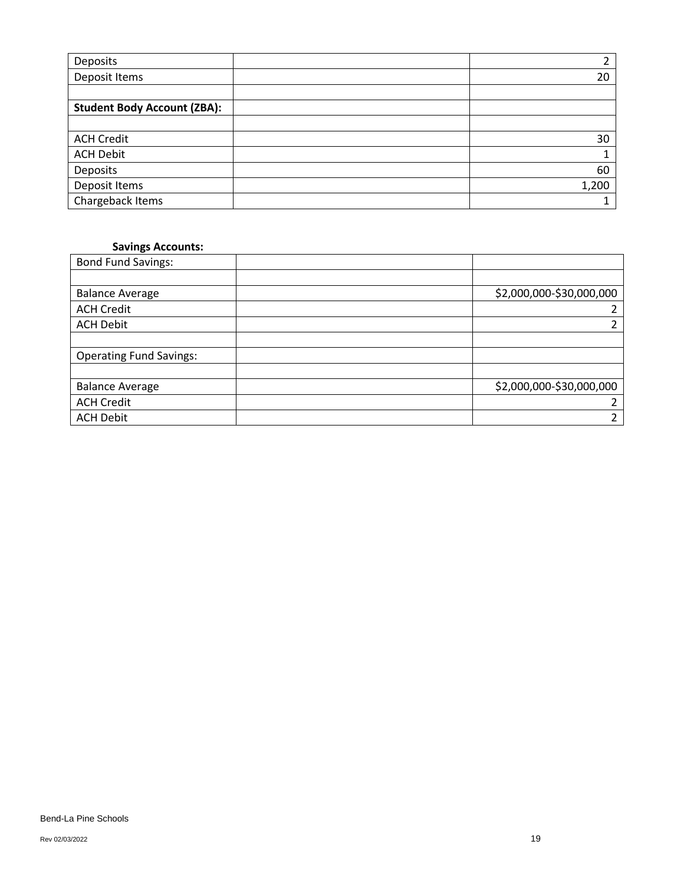| Deposits                           |       |
|------------------------------------|-------|
| Deposit Items                      | 20    |
|                                    |       |
| <b>Student Body Account (ZBA):</b> |       |
|                                    |       |
| <b>ACH Credit</b>                  | 30    |
| <b>ACH Debit</b>                   |       |
| Deposits                           | 60    |
| Deposit Items                      | 1,200 |
| Chargeback Items                   |       |

### **Savings Accounts:**

| <b>Bond Fund Savings:</b>      |                          |
|--------------------------------|--------------------------|
|                                |                          |
| <b>Balance Average</b>         | \$2,000,000-\$30,000,000 |
| <b>ACH Credit</b>              |                          |
| <b>ACH Debit</b>               |                          |
|                                |                          |
| <b>Operating Fund Savings:</b> |                          |
|                                |                          |
| <b>Balance Average</b>         | \$2,000,000-\$30,000,000 |
| <b>ACH Credit</b>              |                          |
| <b>ACH Debit</b>               | ำ                        |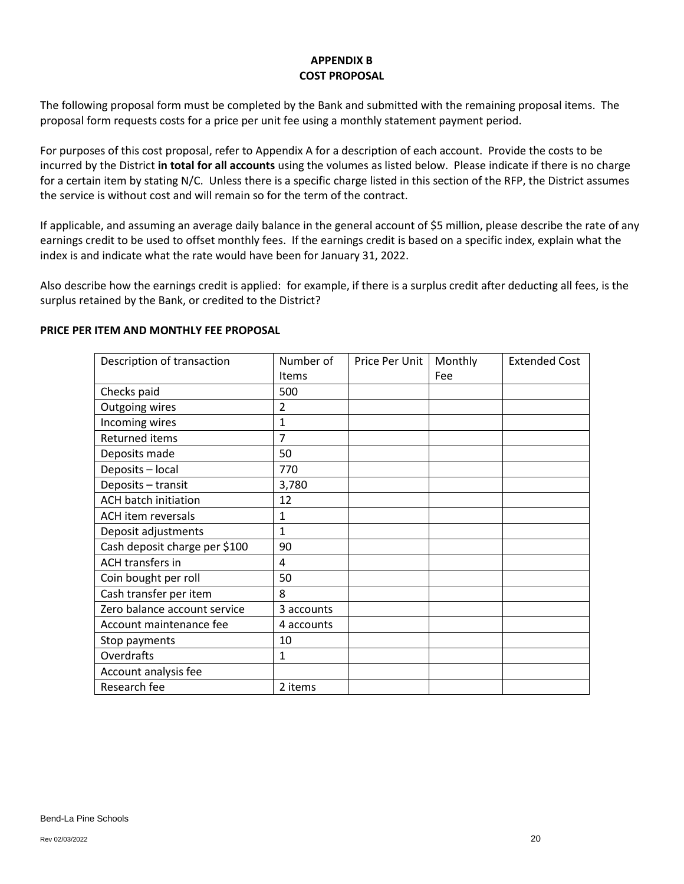## **APPENDIX B COST PROPOSAL**

The following proposal form must be completed by the Bank and submitted with the remaining proposal items. The proposal form requests costs for a price per unit fee using a monthly statement payment period.

For purposes of this cost proposal, refer to Appendix A for a description of each account. Provide the costs to be incurred by the District **in total for all accounts** using the volumes as listed below. Please indicate if there is no charge for a certain item by stating N/C. Unless there is a specific charge listed in this section of the RFP, the District assumes the service is without cost and will remain so for the term of the contract.

If applicable, and assuming an average daily balance in the general account of \$5 million, please describe the rate of any earnings credit to be used to offset monthly fees. If the earnings credit is based on a specific index, explain what the index is and indicate what the rate would have been for January 31, 2022.

Also describe how the earnings credit is applied: for example, if there is a surplus credit after deducting all fees, is the surplus retained by the Bank, or credited to the District?

### **PRICE PER ITEM AND MONTHLY FEE PROPOSAL**

| Description of transaction    | Number of      | Price Per Unit | Monthly | <b>Extended Cost</b> |
|-------------------------------|----------------|----------------|---------|----------------------|
|                               | <b>Items</b>   |                | Fee     |                      |
| Checks paid                   | 500            |                |         |                      |
| Outgoing wires                | $\overline{2}$ |                |         |                      |
| Incoming wires                | 1              |                |         |                      |
| Returned items                | 7              |                |         |                      |
| Deposits made                 | 50             |                |         |                      |
| Deposits - local              | 770            |                |         |                      |
| Deposits - transit            | 3,780          |                |         |                      |
| <b>ACH batch initiation</b>   | 12             |                |         |                      |
| <b>ACH</b> item reversals     | 1              |                |         |                      |
| Deposit adjustments           | 1              |                |         |                      |
| Cash deposit charge per \$100 | 90             |                |         |                      |
| <b>ACH transfers in</b>       | 4              |                |         |                      |
| Coin bought per roll          | 50             |                |         |                      |
| Cash transfer per item        | 8              |                |         |                      |
| Zero balance account service  | 3 accounts     |                |         |                      |
| Account maintenance fee       | 4 accounts     |                |         |                      |
| Stop payments                 | 10             |                |         |                      |
| Overdrafts                    | 1              |                |         |                      |
| Account analysis fee          |                |                |         |                      |
| Research fee                  | 2 items        |                |         |                      |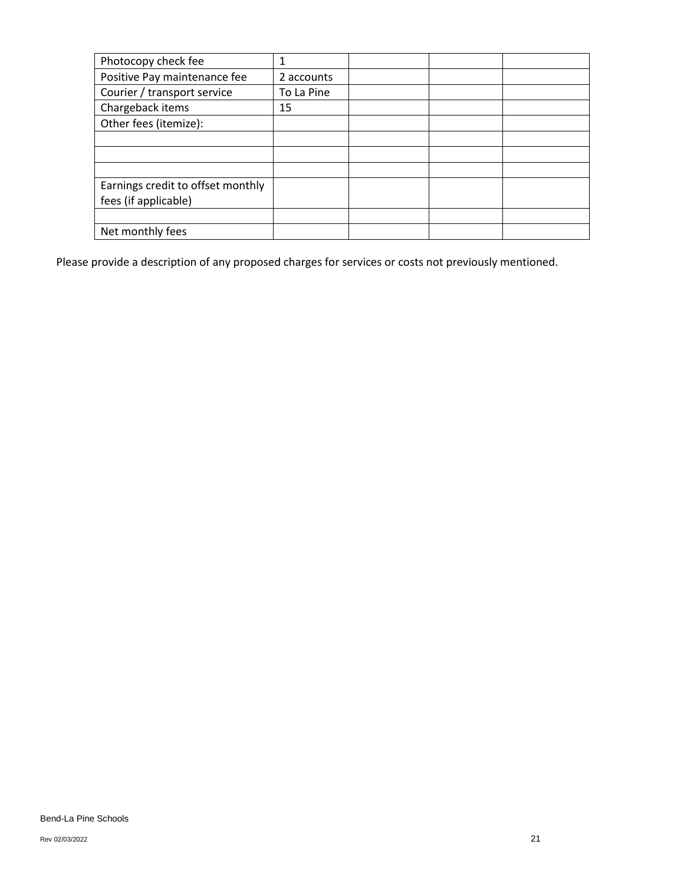| Photocopy check fee               |            |  |  |
|-----------------------------------|------------|--|--|
| Positive Pay maintenance fee      | 2 accounts |  |  |
| Courier / transport service       | To La Pine |  |  |
| Chargeback items                  | 15         |  |  |
| Other fees (itemize):             |            |  |  |
|                                   |            |  |  |
|                                   |            |  |  |
|                                   |            |  |  |
| Earnings credit to offset monthly |            |  |  |
| fees (if applicable)              |            |  |  |
|                                   |            |  |  |
| Net monthly fees                  |            |  |  |

Please provide a description of any proposed charges for services or costs not previously mentioned.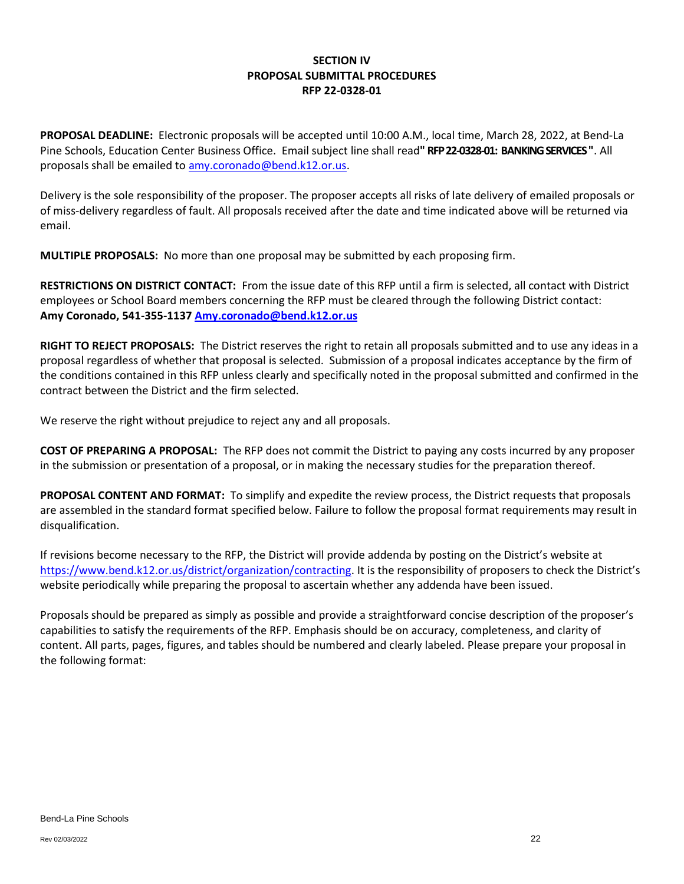## **SECTION IV PROPOSAL SUBMITTAL PROCEDURES RFP 22-0328-01**

**PROPOSAL DEADLINE:** Electronic proposals will be accepted until 10:00 A.M., local time, March 28, 2022, at Bend-La Pine Schools, Education Center Business Office. Email subject line shall read**" RFP 22-0328-01: BANKING SERVICES"**. All proposals shall be emailed to [amy.coronado@bend.k12.or.us.](mailto:amy.coronado@bend.k12.or.us)

Delivery is the sole responsibility of the proposer. The proposer accepts all risks of late delivery of emailed proposals or of miss-delivery regardless of fault. All proposals received after the date and time indicated above will be returned via email.

**MULTIPLE PROPOSALS:** No more than one proposal may be submitted by each proposing firm.

**RESTRICTIONS ON DISTRICT CONTACT:** From the issue date of this RFP until a firm is selected, all contact with District employees or School Board members concerning the RFP must be cleared through the following District contact: **Amy Coronado, 541-355-1137 [Amy.coronado@bend.k12.or.us](mailto:Amy.coronado@bend.k12.or.us)**

**RIGHT TO REJECT PROPOSALS:** The District reserves the right to retain all proposals submitted and to use any ideas in a proposal regardless of whether that proposal is selected. Submission of a proposal indicates acceptance by the firm of the conditions contained in this RFP unless clearly and specifically noted in the proposal submitted and confirmed in the contract between the District and the firm selected.

We reserve the right without prejudice to reject any and all proposals.

**COST OF PREPARING A PROPOSAL:** The RFP does not commit the District to paying any costs incurred by any proposer in the submission or presentation of a proposal, or in making the necessary studies for the preparation thereof.

**PROPOSAL CONTENT AND FORMAT:** To simplify and expedite the review process, the District requests that proposals are assembled in the standard format specified below. Failure to follow the proposal format requirements may result in disqualification.

If revisions become necessary to the RFP, the District will provide addenda by posting on the District's website at [https://www.bend.k12.or.us/district/organization/contracting.](https://www.bend.k12.or.us/district/organization/contracting) It is the responsibility of proposers to check the District's website periodically while preparing the proposal to ascertain whether any addenda have been issued.

Proposals should be prepared as simply as possible and provide a straightforward concise description of the proposer's capabilities to satisfy the requirements of the RFP. Emphasis should be on accuracy, completeness, and clarity of content. All parts, pages, figures, and tables should be numbered and clearly labeled. Please prepare your proposal in the following format: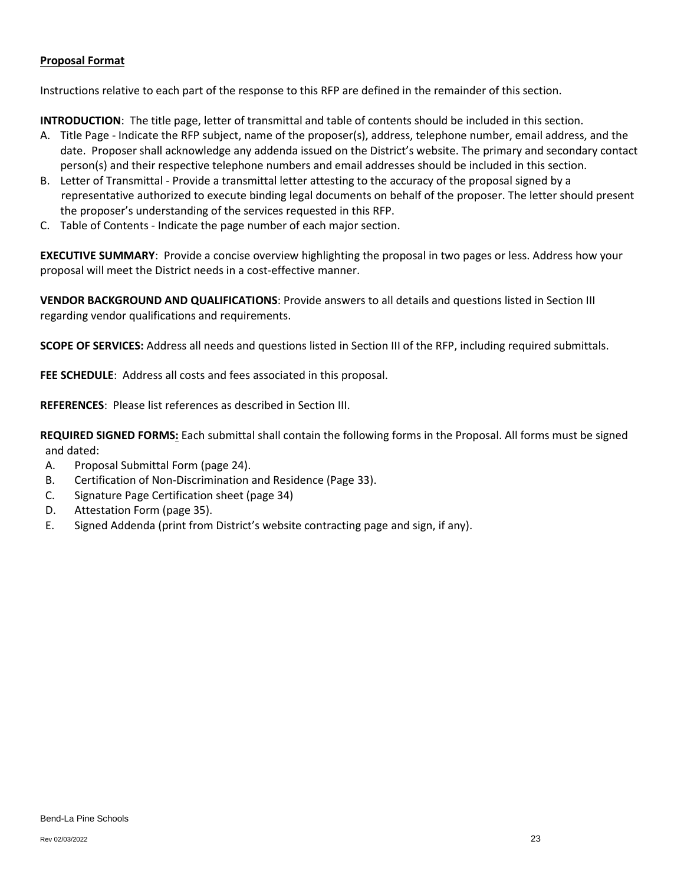#### **Proposal Format**

Instructions relative to each part of the response to this RFP are defined in the remainder of this section.

**INTRODUCTION**: The title page, letter of transmittal and table of contents should be included in this section.

- A. Title Page Indicate the RFP subject, name of the proposer(s), address, telephone number, email address, and the date. Proposer shall acknowledge any addenda issued on the District's website. The primary and secondary contact person(s) and their respective telephone numbers and email addresses should be included in this section.
- B. Letter of Transmittal Provide a transmittal letter attesting to the accuracy of the proposal signed by a representative authorized to execute binding legal documents on behalf of the proposer. The letter should present the proposer's understanding of the services requested in this RFP.
- C. Table of Contents Indicate the page number of each major section.

**EXECUTIVE SUMMARY**: Provide a concise overview highlighting the proposal in two pages or less. Address how your proposal will meet the District needs in a cost-effective manner.

**VENDOR BACKGROUND AND QUALIFICATIONS**: Provide answers to all details and questions listed in Section III regarding vendor qualifications and requirements.

**SCOPE OF SERVICES:** Address all needs and questions listed in Section III of the RFP, including required submittals.

**FEE SCHEDULE**: Address all costs and fees associated in this proposal.

**REFERENCES**: Please list references as described in Section III.

**REQUIRED SIGNED FORMS:** Each submittal shall contain the following forms in the Proposal. All forms must be signed and dated:

- A. Proposal Submittal Form (page 24).
- B. Certification of Non-Discrimination and Residence (Page 33).
- C. Signature Page Certification sheet (page 34)
- D. Attestation Form (page 35).
- E. Signed Addenda (print from District's website contracting page and sign, if any).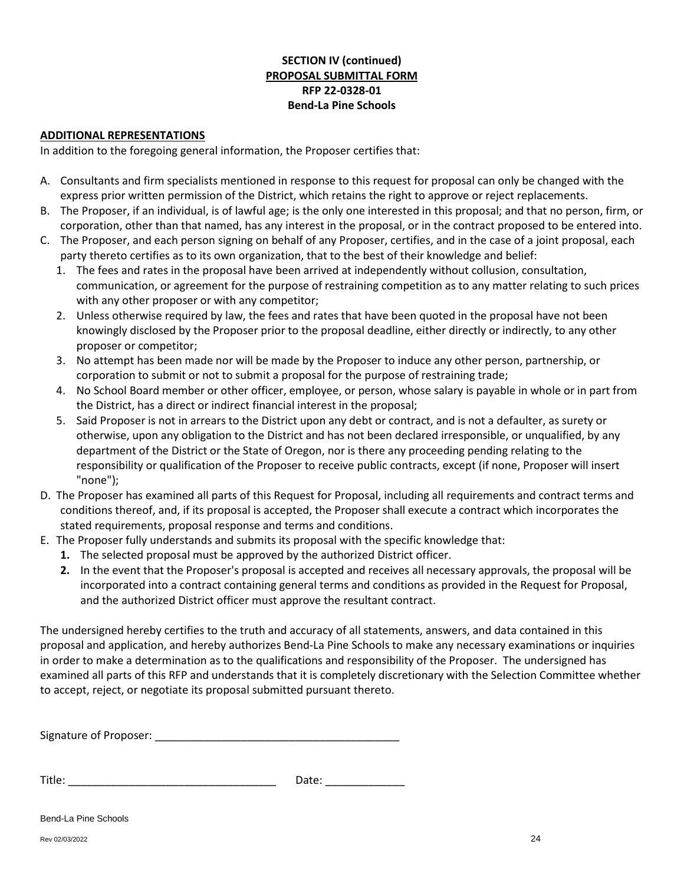# **SECTION IV (continued) PROPOSAL SUBMITTAL FORM RFP 22-0328-01 Bend-La Pine Schools**

#### **ADDITIONAL REPRESENTATIONS**

In addition to the foregoing general information, the Proposer certifies that:

- A. Consultants and firm specialists mentioned in response to this request for proposal can only be changed with the express prior written permission of the District, which retains the right to approve or reject replacements.
- B. The Proposer, if an individual, is of lawful age; is the only one interested in this proposal; and that no person, firm, or corporation, other than that named, has any interest in the proposal, or in the contract proposed to be entered into.
- C. The Proposer, and each person signing on behalf of any Proposer, certifies, and in the case of a joint proposal, each party thereto certifies as to its own organization, that to the best of their knowledge and belief:
	- 1. The fees and rates in the proposal have been arrived at independently without collusion, consultation, communication, or agreement for the purpose of restraining competition as to any matter relating to such prices with any other proposer or with any competitor;
	- 2. Unless otherwise required by law, the fees and rates that have been quoted in the proposal have not been knowingly disclosed by the Proposer prior to the proposal deadline, either directly or indirectly, to any other proposer or competitor;
	- 3. No attempt has been made nor will be made by the Proposer to induce any other person, partnership, or corporation to submit or not to submit a proposal for the purpose of restraining trade;
	- 4. No School Board member or other officer, employee, or person, whose salary is payable in whole or in part from the District, has a direct or indirect financial interest in the proposal;
	- 5. Said Proposer is not in arrears to the District upon any debt or contract, and is not a defaulter, as surety or otherwise, upon any obligation to the District and has not been declared irresponsible, or unqualified, by any department of the District or the State of Oregon, nor is there any proceeding pending relating to the responsibility or qualification of the Proposer to receive public contracts, except (if none, Proposer will insert "none");
- D. The Proposer has examined all parts of this Request for Proposal, including all requirements and contract terms and conditions thereof, and, if its proposal is accepted, the Proposer shall execute a contract which incorporates the stated requirements, proposal response and terms and conditions.
- E. The Proposer fully understands and submits its proposal with the specific knowledge that:
	- **1.** The selected proposal must be approved by the authorized District officer.
	- **2.** In the event that the Proposer's proposal is accepted and receives all necessary approvals, the proposal will be incorporated into a contract containing general terms and conditions as provided in the Request for Proposal, and the authorized District officer must approve the resultant contract.

The undersigned hereby certifies to the truth and accuracy of all statements, answers, and data contained in this proposal and application, and hereby authorizes Bend-La Pine Schools to make any necessary examinations or inquiries in order to make a determination as to the qualifications and responsibility of the Proposer. The undersigned has examined all parts of this RFP and understands that it is completely discretionary with the Selection Committee whether to accept, reject, or negotiate its proposal submitted pursuant thereto.

Signature of Proposer: \_\_\_\_\_\_\_\_\_\_\_\_\_\_\_\_\_\_\_\_\_\_\_\_\_\_\_\_\_\_\_\_\_\_\_\_\_\_\_\_

Title: \_\_\_\_\_\_\_\_\_\_\_\_\_\_\_\_\_\_\_\_\_\_\_\_\_\_\_\_\_\_\_\_\_\_ Date: \_\_\_\_\_\_\_\_\_\_\_\_\_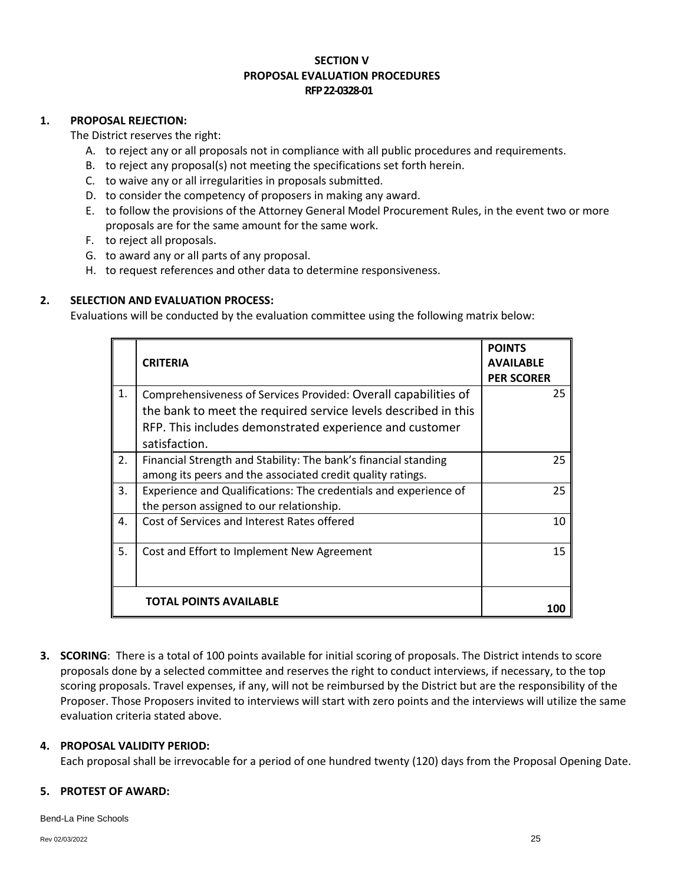## **SECTION V PROPOSAL EVALUATION PROCEDURES RFP 22-0328-01**

### **1. PROPOSAL REJECTION:**

The District reserves the right:

- A. to reject any or all proposals not in compliance with all public procedures and requirements.
- B. to reject any proposal(s) not meeting the specifications set forth herein.
- C. to waive any or all irregularities in proposals submitted.
- D. to consider the competency of proposers in making any award.
- E. to follow the provisions of the Attorney General Model Procurement Rules, in the event two or more proposals are for the same amount for the same work.
- F. to reject all proposals.
- G. to award any or all parts of any proposal.
- H. to request references and other data to determine responsiveness.

## **2. SELECTION AND EVALUATION PROCESS:**

Evaluations will be conducted by the evaluation committee using the following matrix below:

|    | <b>CRITERIA</b>                                                                                                                                                                                               | <b>POINTS</b><br><b>AVAILABLE</b><br><b>PER SCORER</b> |
|----|---------------------------------------------------------------------------------------------------------------------------------------------------------------------------------------------------------------|--------------------------------------------------------|
| 1. | Comprehensiveness of Services Provided: Overall capabilities of<br>the bank to meet the required service levels described in this<br>RFP. This includes demonstrated experience and customer<br>satisfaction. | 25                                                     |
| 2. | Financial Strength and Stability: The bank's financial standing<br>among its peers and the associated credit quality ratings.                                                                                 | 25                                                     |
| 3. | Experience and Qualifications: The credentials and experience of<br>the person assigned to our relationship.                                                                                                  | 25                                                     |
| 4. | Cost of Services and Interest Rates offered                                                                                                                                                                   | 10                                                     |
| 5. | Cost and Effort to Implement New Agreement                                                                                                                                                                    | 15                                                     |
|    | <b>TOTAL POINTS AVAILABLE</b>                                                                                                                                                                                 |                                                        |

**3. SCORING**: There is a total of 100 points available for initial scoring of proposals. The District intends to score proposals done by a selected committee and reserves the right to conduct interviews, if necessary, to the top scoring proposals. Travel expenses, if any, will not be reimbursed by the District but are the responsibility of the Proposer. Those Proposers invited to interviews will start with zero points and the interviews will utilize the same evaluation criteria stated above.

### **4. PROPOSAL VALIDITY PERIOD:**

Each proposal shall be irrevocable for a period of one hundred twenty (120) days from the Proposal Opening Date.

### **5. PROTEST OF AWARD:**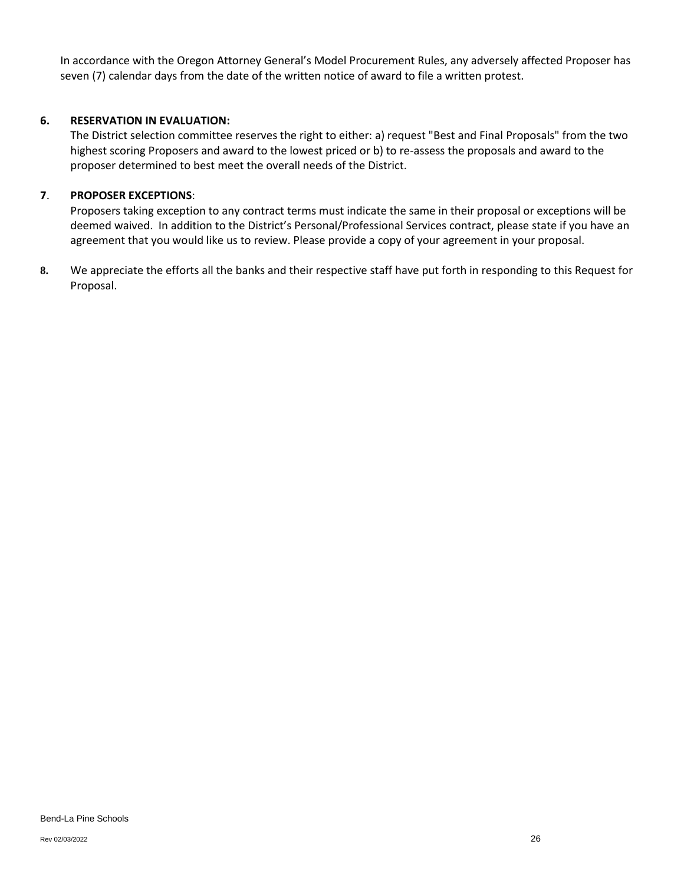In accordance with the Oregon Attorney General's Model Procurement Rules, any adversely affected Proposer has seven (7) calendar days from the date of the written notice of award to file a written protest.

### **6. RESERVATION IN EVALUATION:**

The District selection committee reserves the right to either: a) request "Best and Final Proposals" from the two highest scoring Proposers and award to the lowest priced or b) to re-assess the proposals and award to the proposer determined to best meet the overall needs of the District.

## **7**. **PROPOSER EXCEPTIONS**:

Proposers taking exception to any contract terms must indicate the same in their proposal or exceptions will be deemed waived. In addition to the District's Personal/Professional Services contract, please state if you have an agreement that you would like us to review. Please provide a copy of your agreement in your proposal.

**8.** We appreciate the efforts all the banks and their respective staff have put forth in responding to this Request for Proposal.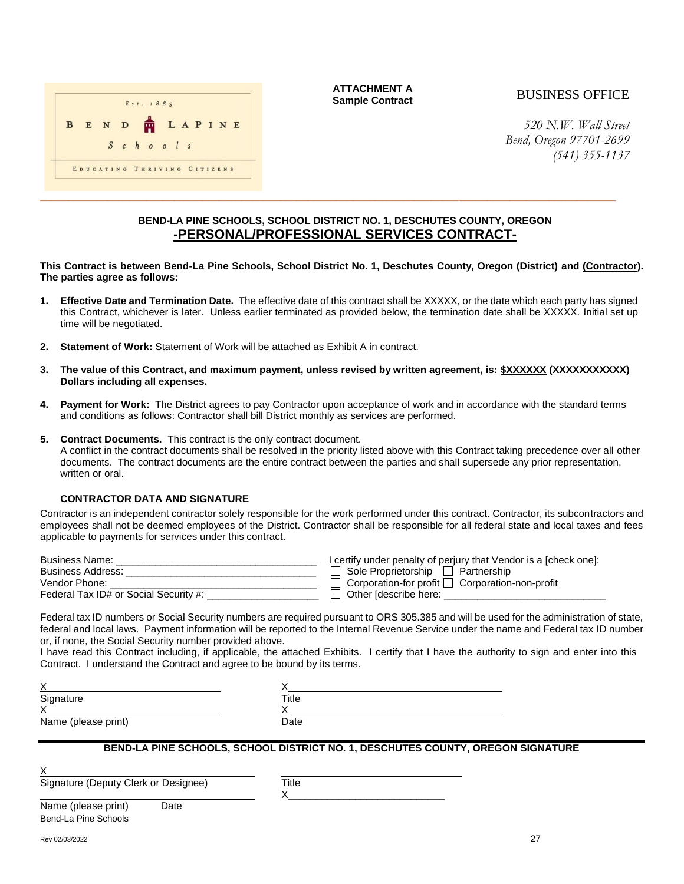

**ATTACHMENT A Sample Contract** 

# BUSINESS OFFICE

*520 N.W. Wall Street Bend, Oregon 97701-2699 (541) 355-1137*

#### **BEND-LA PINE SCHOOLS, SCHOOL DISTRICT NO. 1, DESCHUTES COUNTY, OREGON -PERSONAL/PROFESSIONAL SERVICES CONTRACT-**

**\_\_\_\_\_\_\_\_\_\_\_\_\_\_\_\_\_\_\_\_\_\_\_\_\_\_\_\_\_\_\_\_\_\_\_\_\_\_\_\_\_\_\_\_\_\_\_\_\_\_\_\_\_\_\_\_\_\_\_\_\_\_\_\_\_\_\_\_\_\_\_\_\_\_\_\_\_\_\_\_\_\_\_\_\_\_\_\_\_\_\_\_\_\_\_\_\_\_\_\_\_\_\_**

**This Contract is between Bend-La Pine Schools, School District No. 1, Deschutes County, Oregon (District) and (Contractor). The parties agree as follows:**

- **1. Effective Date and Termination Date.** The effective date of this contract shall be XXXXX, or the date which each party has signed this Contract, whichever is later. Unless earlier terminated as provided below, the termination date shall be XXXXX. Initial set up time will be negotiated.
- **2. Statement of Work:** Statement of Work will be attached as Exhibit A in contract.
- **3. The value of this Contract, and maximum payment, unless revised by written agreement, is: \$XXXXXX (XXXXXXXXXXX) Dollars including all expenses.**
- **4. Payment for Work:** The District agrees to pay Contractor upon acceptance of work and in accordance with the standard terms and conditions as follows: Contractor shall bill District monthly as services are performed.
- **5. Contract Documents.** This contract is the only contract document.

A conflict in the contract documents shall be resolved in the priority listed above with this Contract taking precedence over all other documents. The contract documents are the entire contract between the parties and shall supersede any prior representation, written or oral.

#### **CONTRACTOR DATA AND SIGNATURE**

Contractor is an independent contractor solely responsible for the work performed under this contract. Contractor, its subcontractors and employees shall not be deemed employees of the District. Contractor shall be responsible for all federal state and local taxes and fees applicable to payments for services under this contract.

| <b>Business Name:</b>                 | I certify under penalty of perjury that Vendor is a [check one]: |
|---------------------------------------|------------------------------------------------------------------|
| <b>Business Address:</b>              | Sole Proprietorship   Partnership                                |
| Vendor Phone:                         | $\Box$ Corporation-for profit $\Box$ Corporation-non-profit      |
| Federal Tax ID# or Social Security #: | Other [describe here:                                            |
|                                       |                                                                  |

Federal tax ID numbers or Social Security numbers are required pursuant to ORS 305.385 and will be used for the administration of state, federal and local laws. Payment information will be reported to the Internal Revenue Service under the name and Federal tax ID number or, if none, the Social Security number provided above.

I have read this Contract including, if applicable, the attached Exhibits. I certify that I have the authority to sign and enter into this Contract. I understand the Contract and agree to be bound by its terms.

| Χ                   |       |
|---------------------|-------|
| Signature           | Title |
| Χ                   |       |
| Name (please print) | Date  |

#### **BEND-LA PINE SCHOOLS, SCHOOL DISTRICT NO. 1, DESCHUTES COUNTY, OREGON SIGNATURE**

Signature (Deputy Clerk or Designee) Title

X\_\_\_\_\_\_\_\_\_\_\_\_\_\_\_\_\_\_\_\_\_\_\_\_\_\_\_\_

Bend-La Pine Schools Name (please print) Date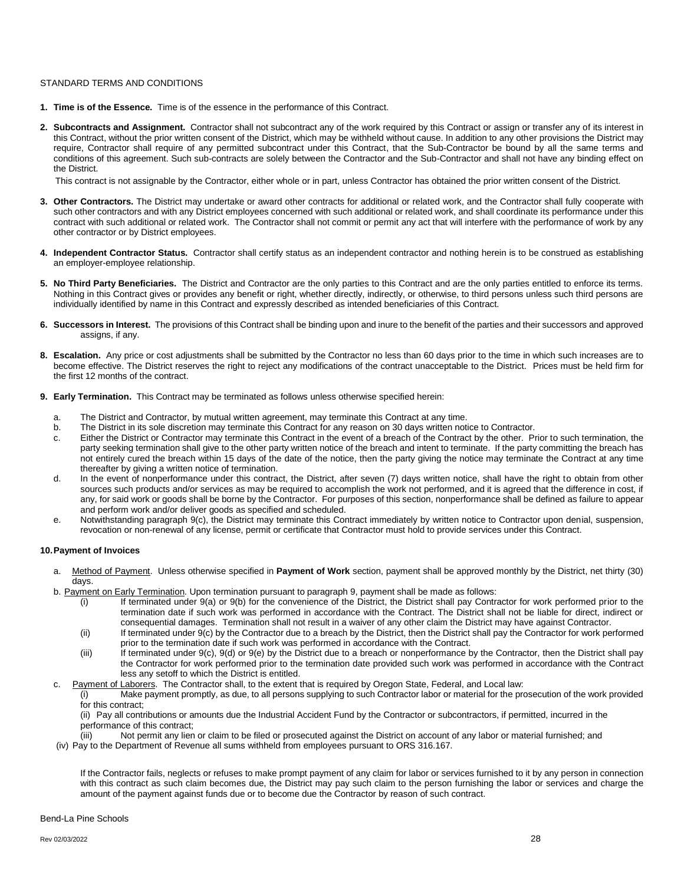#### STANDARD TERMS AND CONDITIONS

- **1. Time is of the Essence.** Time is of the essence in the performance of this Contract.
- **2. Subcontracts and Assignment.** Contractor shall not subcontract any of the work required by this Contract or assign or transfer any of its interest in this Contract, without the prior written consent of the District, which may be withheld without cause. In addition to any other provisions the District may require, Contractor shall require of any permitted subcontract under this Contract, that the Sub-Contractor be bound by all the same terms and conditions of this agreement. Such sub-contracts are solely between the Contractor and the Sub-Contractor and shall not have any binding effect on the District.

This contract is not assignable by the Contractor, either whole or in part, unless Contractor has obtained the prior written consent of the District.

- **3. Other Contractors.** The District may undertake or award other contracts for additional or related work, and the Contractor shall fully cooperate with such other contractors and with any District employees concerned with such additional or related work, and shall coordinate its performance under this contract with such additional or related work. The Contractor shall not commit or permit any act that will interfere with the performance of work by any other contractor or by District employees.
- **4. Independent Contractor Status.** Contractor shall certify status as an independent contractor and nothing herein is to be construed as establishing an employer-employee relationship.
- **5. No Third Party Beneficiaries.** The District and Contractor are the only parties to this Contract and are the only parties entitled to enforce its terms. Nothing in this Contract gives or provides any benefit or right, whether directly, indirectly, or otherwise, to third persons unless such third persons are individually identified by name in this Contract and expressly described as intended beneficiaries of this Contract.
- **6. Successors in Interest.** The provisions of this Contract shall be binding upon and inure to the benefit of the parties and their successors and approved assigns, if any.
- **8. Escalation.** Any price or cost adjustments shall be submitted by the Contractor no less than 60 days prior to the time in which such increases are to become effective. The District reserves the right to reject any modifications of the contract unacceptable to the District. Prices must be held firm for the first 12 months of the contract.
- **9. Early Termination.** This Contract may be terminated as follows unless otherwise specified herein:
	- a. The District and Contractor, by mutual written agreement, may terminate this Contract at any time.
	- b. The District in its sole discretion may terminate this Contract for any reason on 30 days written notice to Contractor.
	- c. Either the District or Contractor may terminate this Contract in the event of a breach of the Contract by the other. Prior to such termination, the party seeking termination shall give to the other party written notice of the breach and intent to terminate. If the party committing the breach has not entirely cured the breach within 15 days of the date of the notice, then the party giving the notice may terminate the Contract at any time thereafter by giving a written notice of termination.
	- d. In the event of nonperformance under this contract, the District, after seven (7) days written notice, shall have the right to obtain from other sources such products and/or services as may be required to accomplish the work not performed, and it is agreed that the difference in cost, if any, for said work or goods shall be borne by the Contractor. For purposes of this section, nonperformance shall be defined as failure to appear and perform work and/or deliver goods as specified and scheduled.
	- e. Notwithstanding paragraph 9(c), the District may terminate this Contract immediately by written notice to Contractor upon denial, suspension, revocation or non-renewal of any license, permit or certificate that Contractor must hold to provide services under this Contract.

#### **10.Payment of Invoices**

- a. Method of Payment. Unless otherwise specified in **Payment of Work** section, payment shall be approved monthly by the District, net thirty (30) days.
- b. Payment on Early Termination. Upon termination pursuant to paragraph 9, payment shall be made as follows:
	- (i) If terminated under 9(a) or 9(b) for the convenience of the District, the District shall pay Contractor for work performed prior to the termination date if such work was performed in accordance with the Contract. The District shall not be liable for direct, indirect or consequential damages. Termination shall not result in a waiver of any other claim the District may have against Contractor.
	- (ii) If terminated under 9(c) by the Contractor due to a breach by the District, then the District shall pay the Contractor for work performed prior to the termination date if such work was performed in accordance with the Contract.
	- (iii) If terminated under 9(c), 9(d) or 9(e) by the District due to a breach or nonperformance by the Contractor, then the District shall pay the Contractor for work performed prior to the termination date provided such work was performed in accordance with the Contract less any setoff to which the District is entitled.

c. Payment of Laborers. The Contractor shall, to the extent that is required by Oregon State, Federal, and Local law:

(i) Make payment promptly, as due, to all persons supplying to such Contractor labor or material for the prosecution of the work provided for this contract;

(ii) Pay all contributions or amounts due the Industrial Accident Fund by the Contractor or subcontractors, if permitted, incurred in the performance of this contract;

(iii) Not permit any lien or claim to be filed or prosecuted against the District on account of any labor or material furnished; and (iv) Pay to the Department of Revenue all sums withheld from employees pursuant to ORS 316.167.

If the Contractor fails, neglects or refuses to make prompt payment of any claim for labor or services furnished to it by any person in connection with this contract as such claim becomes due, the District may pay such claim to the person furnishing the labor or services and charge the amount of the payment against funds due or to become due the Contractor by reason of such contract.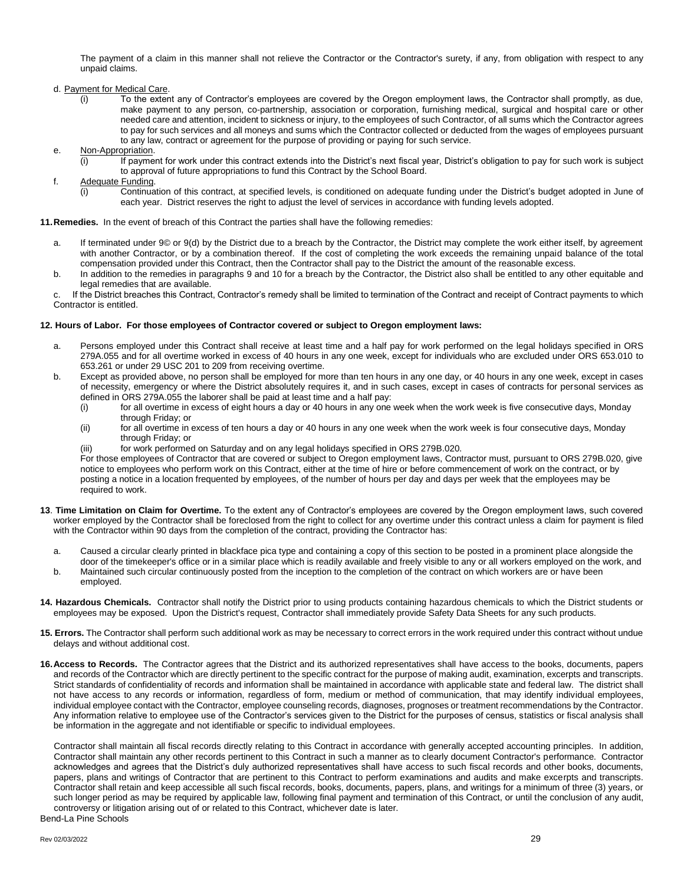The payment of a claim in this manner shall not relieve the Contractor or the Contractor's surety, if any, from obligation with respect to any unpaid claims.

- d. Payment for Medical Care.
	- (i) To the extent any of Contractor's employees are covered by the Oregon employment laws, the Contractor shall promptly, as due, make payment to any person, co-partnership, association or corporation, furnishing medical, surgical and hospital care or other needed care and attention, incident to sickness or injury, to the employees of such Contractor, of all sums which the Contractor agrees to pay for such services and all moneys and sums which the Contractor collected or deducted from the wages of employees pursuant to any law, contract or agreement for the purpose of providing or paying for such service.
- e. Non-Appropriation.
	- (i) If payment for work under this contract extends into the District's next fiscal year, District's obligation to pay for such work is subject to approval of future appropriations to fund this Contract by the School Board.
- f. Adequate Funding.
	- (i) Continuation of this contract, at specified levels, is conditioned on adequate funding under the District's budget adopted in June of each year. District reserves the right to adjust the level of services in accordance with funding levels adopted.

**11.Remedies.** In the event of breach of this Contract the parties shall have the following remedies:

- a. If terminated under 9© or 9(d) by the District due to a breach by the Contractor, the District may complete the work either itself, by agreement with another Contractor, or by a combination thereof. If the cost of completing the work exceeds the remaining unpaid balance of the total compensation provided under this Contract, then the Contractor shall pay to the District the amount of the reasonable excess.
- b. In addition to the remedies in paragraphs 9 and 10 for a breach by the Contractor, the District also shall be entitled to any other equitable and legal remedies that are available.

c. If the District breaches this Contract, Contractor's remedy shall be limited to termination of the Contract and receipt of Contract payments to which Contractor is entitled.

#### **12. Hours of Labor. For those employees of Contractor covered or subject to Oregon employment laws:**

- a. Persons employed under this Contract shall receive at least time and a half pay for work performed on the legal holidays specified in ORS 279A.055 and for all overtime worked in excess of 40 hours in any one week, except for individuals who are excluded under ORS 653.010 to 653.261 or under 29 USC 201 to 209 from receiving overtime.
- b. Except as provided above, no person shall be employed for more than ten hours in any one day, or 40 hours in any one week, except in cases of necessity, emergency or where the District absolutely requires it, and in such cases, except in cases of contracts for personal services as defined in ORS 279A.055 the laborer shall be paid at least time and a half pay:
	- (i) for all overtime in excess of eight hours a day or 40 hours in any one week when the work week is five consecutive days, Monday through Friday; or
	- (ii) for all overtime in excess of ten hours a day or 40 hours in any one week when the work week is four consecutive days, Monday through Friday; or
	- (iii) for work performed on Saturday and on any legal holidays specified in ORS 279B.020.

For those employees of Contractor that are covered or subject to Oregon employment laws, Contractor must, pursuant to ORS 279B.020, give notice to employees who perform work on this Contract, either at the time of hire or before commencement of work on the contract, or by posting a notice in a location frequented by employees, of the number of hours per day and days per week that the employees may be required to work.

- **13**. **Time Limitation on Claim for Overtime.** To the extent any of Contractor's employees are covered by the Oregon employment laws, such covered worker employed by the Contractor shall be foreclosed from the right to collect for any overtime under this contract unless a claim for payment is filed with the Contractor within 90 days from the completion of the contract, providing the Contractor has:
	- a. Caused a circular clearly printed in blackface pica type and containing a copy of this section to be posted in a prominent place alongside the door of the timekeeper's office or in a similar place which is readily available and freely visible to any or all workers employed on the work, and
	- b. Maintained such circular continuously posted from the inception to the completion of the contract on which workers are or have been employed.
- **14. Hazardous Chemicals.** Contractor shall notify the District prior to using products containing hazardous chemicals to which the District students or employees may be exposed. Upon the District's request, Contractor shall immediately provide Safety Data Sheets for any such products.
- **15. Errors.** The Contractor shall perform such additional work as may be necessary to correct errors in the work required under this contract without undue delays and without additional cost.
- **16.Access to Records.** The Contractor agrees that the District and its authorized representatives shall have access to the books, documents, papers and records of the Contractor which are directly pertinent to the specific contract for the purpose of making audit, examination, excerpts and transcripts. Strict standards of confidentiality of records and information shall be maintained in accordance with applicable state and federal law. The district shall not have access to any records or information, regardless of form, medium or method of communication, that may identify individual employees, individual employee contact with the Contractor, employee counseling records, diagnoses, prognoses or treatment recommendations by the Contractor. Any information relative to employee use of the Contractor's services given to the District for the purposes of census, statistics or fiscal analysis shall be information in the aggregate and not identifiable or specific to individual employees.

Bend-La Pine Schools Contractor shall maintain all fiscal records directly relating to this Contract in accordance with generally accepted accounting principles. In addition, Contractor shall maintain any other records pertinent to this Contract in such a manner as to clearly document Contractor's performance. Contractor acknowledges and agrees that the District's duly authorized representatives shall have access to such fiscal records and other books, documents, papers, plans and writings of Contractor that are pertinent to this Contract to perform examinations and audits and make excerpts and transcripts. Contractor shall retain and keep accessible all such fiscal records, books, documents, papers, plans, and writings for a minimum of three (3) years, or such longer period as may be required by applicable law, following final payment and termination of this Contract, or until the conclusion of any audit, controversy or litigation arising out of or related to this Contract, whichever date is later.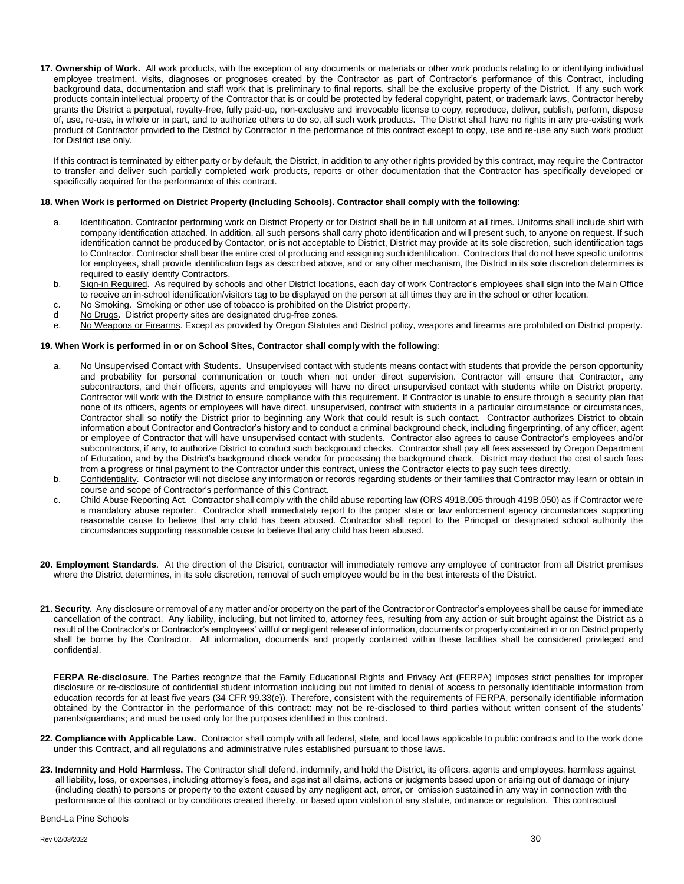**17. Ownership of Work.** All work products, with the exception of any documents or materials or other work products relating to or identifying individual employee treatment, visits, diagnoses or prognoses created by the Contractor as part of Contractor's performance of this Contract, including background data, documentation and staff work that is preliminary to final reports, shall be the exclusive property of the District. If any such work products contain intellectual property of the Contractor that is or could be protected by federal copyright, patent, or trademark laws, Contractor hereby grants the District a perpetual, royalty-free, fully paid-up, non-exclusive and irrevocable license to copy, reproduce, deliver, publish, perform, dispose of, use, re-use, in whole or in part, and to authorize others to do so, all such work products. The District shall have no rights in any pre-existing work product of Contractor provided to the District by Contractor in the performance of this contract except to copy, use and re-use any such work product for District use only.

If this contract is terminated by either party or by default, the District, in addition to any other rights provided by this contract, may require the Contractor to transfer and deliver such partially completed work products, reports or other documentation that the Contractor has specifically developed or specifically acquired for the performance of this contract.

#### **18. When Work is performed on District Property (Including Schools). Contractor shall comply with the following**:

- a. **Identification**. Contractor performing work on District Property or for District shall be in full uniform at all times. Uniforms shall include shirt with company identification attached. In addition, all such persons shall carry photo identification and will present such, to anyone on request. If such identification cannot be produced by Contactor, or is not acceptable to District, District may provide at its sole discretion, such identification tags to Contractor. Contractor shall bear the entire cost of producing and assigning such identification. Contractors that do not have specific uniforms for employees, shall provide identification tags as described above, and or any other mechanism, the District in its sole discretion determines is required to easily identify Contractors.
- b. Sign-in Required. As required by schools and other District locations, each day of work Contractor's employees shall sign into the Main Office to receive an in-school identification/visitors tag to be displayed on the person at all times they are in the school or other location.
- c. No Smoking. Smoking or other use of tobacco is prohibited on the District property.
- d No Drugs. District property sites are designated drug-free zones.
- e. No Weapons or Firearms. Except as provided by Oregon Statutes and District policy, weapons and firearms are prohibited on District property.

#### **19. When Work is performed in or on School Sites, Contractor shall comply with the following**:

- a. No Unsupervised Contact with Students. Unsupervised contact with students means contact with students that provide the person opportunity and probability for personal communication or touch when not under direct supervision. Contractor will ensure that Contractor, any subcontractors, and their officers, agents and employees will have no direct unsupervised contact with students while on District property. Contractor will work with the District to ensure compliance with this requirement. If Contractor is unable to ensure through a security plan that none of its officers, agents or employees will have direct, unsupervised, contract with students in a particular circumstance or circumstances, Contractor shall so notify the District prior to beginning any Work that could result is such contact. Contractor authorizes District to obtain information about Contractor and Contractor's history and to conduct a criminal background check, including fingerprinting, of any officer, agent or employee of Contractor that will have unsupervised contact with students. Contractor also agrees to cause Contractor's employees and/or subcontractors, if any, to authorize District to conduct such background checks. Contractor shall pay all fees assessed by Oregon Department of Education, and by the District's background check vendor for processing the background check. District may deduct the cost of such fees from a progress or final payment to the Contractor under this contract, unless the Contractor elects to pay such fees directly.
- b. Confidentiality. Contractor will not disclose any information or records regarding students or their families that Contractor may learn or obtain in course and scope of Contractor's performance of this Contract.
- c. Child Abuse Reporting Act. Contractor shall comply with the child abuse reporting law (ORS 491B.005 through 419B.050) as if Contractor were a mandatory abuse reporter. Contractor shall immediately report to the proper state or law enforcement agency circumstances supporting reasonable cause to believe that any child has been abused. Contractor shall report to the Principal or designated school authority the circumstances supporting reasonable cause to believe that any child has been abused.
- **20. Employment Standards**. At the direction of the District, contractor will immediately remove any employee of contractor from all District premises where the District determines, in its sole discretion, removal of such employee would be in the best interests of the District.
- **21. Security.** Any disclosure or removal of any matter and/or property on the part of the Contractor or Contractor's employees shall be cause for immediate cancellation of the contract. Any liability, including, but not limited to, attorney fees, resulting from any action or suit brought against the District as a result of the Contractor's or Contractor's employees' willful or negligent release of information, documents or property contained in or on District property shall be borne by the Contractor. All information, documents and property contained within these facilities shall be considered privileged and confidential.

**FERPA Re-disclosure**. The Parties recognize that the Family Educational Rights and Privacy Act (FERPA) imposes strict penalties for improper disclosure or re-disclosure of confidential student information including but not limited to denial of access to personally identifiable information from education records for at least five years (34 CFR 99.33(e)). Therefore, consistent with the requirements of FERPA, personally identifiable information obtained by the Contractor in the performance of this contract: may not be re-disclosed to third parties without written consent of the students' parents/guardians; and must be used only for the purposes identified in this contract.

- **22. Compliance with Applicable Law.** Contractor shall comply with all federal, state, and local laws applicable to public contracts and to the work done under this Contract, and all regulations and administrative rules established pursuant to those laws.
- **23. Indemnity and Hold Harmless.** The Contractor shall defend, indemnify, and hold the District, its officers, agents and employees, harmless against all liability, loss, or expenses, including attorney's fees, and against all claims, actions or judgments based upon or arising out of damage or injury (including death) to persons or property to the extent caused by any negligent act, error, or omission sustained in any way in connection with the performance of this contract or by conditions created thereby, or based upon violation of any statute, ordinance or regulation. This contractual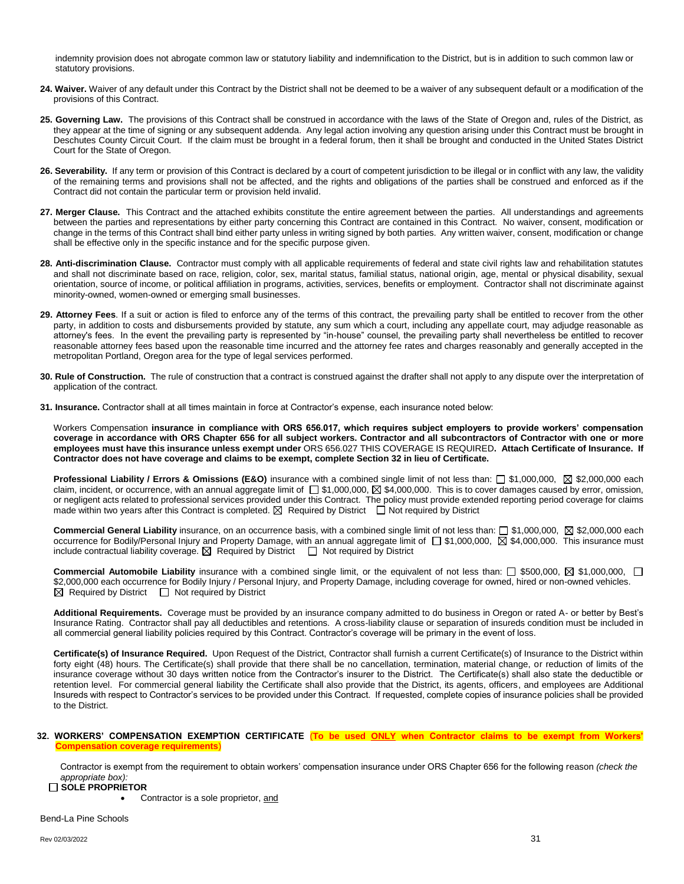indemnity provision does not abrogate common law or statutory liability and indemnification to the District, but is in addition to such common law or statutory provisions.

- 24. Waiver. Waiver of any default under this Contract by the District shall not be deemed to be a waiver of any subsequent default or a modification of the provisions of this Contract.
- **25. Governing Law.** The provisions of this Contract shall be construed in accordance with the laws of the State of Oregon and, rules of the District, as they appear at the time of signing or any subsequent addenda. Any legal action involving any question arising under this Contract must be brought in Deschutes County Circuit Court. If the claim must be brought in a federal forum, then it shall be brought and conducted in the United States District Court for the State of Oregon.
- **26. Severability.** If any term or provision of this Contract is declared by a court of competent jurisdiction to be illegal or in conflict with any law, the validity of the remaining terms and provisions shall not be affected, and the rights and obligations of the parties shall be construed and enforced as if the Contract did not contain the particular term or provision held invalid.
- **27. Merger Clause.** This Contract and the attached exhibits constitute the entire agreement between the parties. All understandings and agreements between the parties and representations by either party concerning this Contract are contained in this Contract. No waiver, consent, modification or change in the terms of this Contract shall bind either party unless in writing signed by both parties. Any written waiver, consent, modification or change shall be effective only in the specific instance and for the specific purpose given.
- **28. Anti-discrimination Clause.** Contractor must comply with all applicable requirements of federal and state civil rights law and rehabilitation statutes and shall not discriminate based on race, religion, color, sex, marital status, familial status, national origin, age, mental or physical disability, sexual orientation, source of income, or political affiliation in programs, activities, services, benefits or employment. Contractor shall not discriminate against minority-owned, women-owned or emerging small businesses.
- **29. Attorney Fees**. If a suit or action is filed to enforce any of the terms of this contract, the prevailing party shall be entitled to recover from the other party, in addition to costs and disbursements provided by statute, any sum which a court, including any appellate court, may adjudge reasonable as attorney's fees. In the event the prevailing party is represented by "in-house" counsel, the prevailing party shall nevertheless be entitled to recover reasonable attorney fees based upon the reasonable time incurred and the attorney fee rates and charges reasonably and generally accepted in the metropolitan Portland, Oregon area for the type of legal services performed.
- **30. Rule of Construction.** The rule of construction that a contract is construed against the drafter shall not apply to any dispute over the interpretation of application of the contract.
- **31. Insurance.** Contractor shall at all times maintain in force at Contractor's expense, each insurance noted below:

Workers Compensation **insurance in compliance with ORS 656.017, which requires subject employers to provide workers' compensation coverage in accordance with ORS Chapter 656 for all subject workers. Contractor and all subcontractors of Contractor with one or more employees must have this insurance unless exempt under** ORS 656.027 THIS COVERAGE IS REQUIRED**. Attach Certificate of Insurance. If Contractor does not have coverage and claims to be exempt, complete Section 32 in lieu of Certificate.**

**Professional Liability / Errors & Omissions (E&O)** insurance with a combined single limit of not less than:  $\Box$  \$1,000,000,  $\boxtimes$  \$2,000,000 each claim, incident, or occurrence, with an annual aggregate limit of  $\square$  \$1,000,000,  $\square$  \$4,000,000. This is to cover damages caused by error, omission, or negligent acts related to professional services provided under this Contract. The policy must provide extended reporting period coverage for claims made within two years after this Contract is completed.  $\boxtimes$  Required by District  $\Box$  Not required by District

**Commercial General Liability** insurance, on an occurrence basis, with a combined single limit of not less than: □ \$1,000,000, ⊠ \$2,000,000 each occurrence for Bodily/Personal Injury and Property Damage, with an annual aggregate limit of □ \$1,000,000, ⊠ \$4,000,000. This insurance must include contractual liability coverage.  $\boxtimes$  Required by District  $\Box$  Not required by District

**Commercial Automobile Liability** insurance with a combined single limit, or the equivalent of not less than:  $\Box$  \$500,000,  $\boxtimes$  \$1,000,000,  $\Box$ \$2,000,000 each occurrence for Bodily Injury / Personal Injury, and Property Damage, including coverage for owned, hired or non-owned vehicles.  $\boxtimes$  Required by District  $\Box$  Not required by District

**Additional Requirements.** Coverage must be provided by an insurance company admitted to do business in Oregon or rated A- or better by Best's Insurance Rating. Contractor shall pay all deductibles and retentions. A cross-liability clause or separation of insureds condition must be included in all commercial general liability policies required by this Contract. Contractor's coverage will be primary in the event of loss.

**Certificate(s) of Insurance Required.** Upon Request of the District, Contractor shall furnish a current Certificate(s) of Insurance to the District within forty eight (48) hours. The Certificate(s) shall provide that there shall be no cancellation, termination, material change, or reduction of limits of the insurance coverage without 30 days written notice from the Contractor's insurer to the District. The Certificate(s) shall also state the deductible or retention level. For commercial general liability the Certificate shall also provide that the District, its agents, officers, and employees are Additional Insureds with respect to Contractor's services to be provided under this Contract. If requested, complete copies of insurance policies shall be provided to the District.

#### **32. WORKERS' COMPENSATION EXEMPTION CERTIFICATE** (**To be used ONLY when Contractor claims to be exempt from Workers' Combus** coverage requirements)

Contractor is exempt from the requirement to obtain workers' compensation insurance under ORS Chapter 656 for the following reason *(check the appropriate box):*

#### **SOLE PROPRIETOR**

Contractor is a sole proprietor, and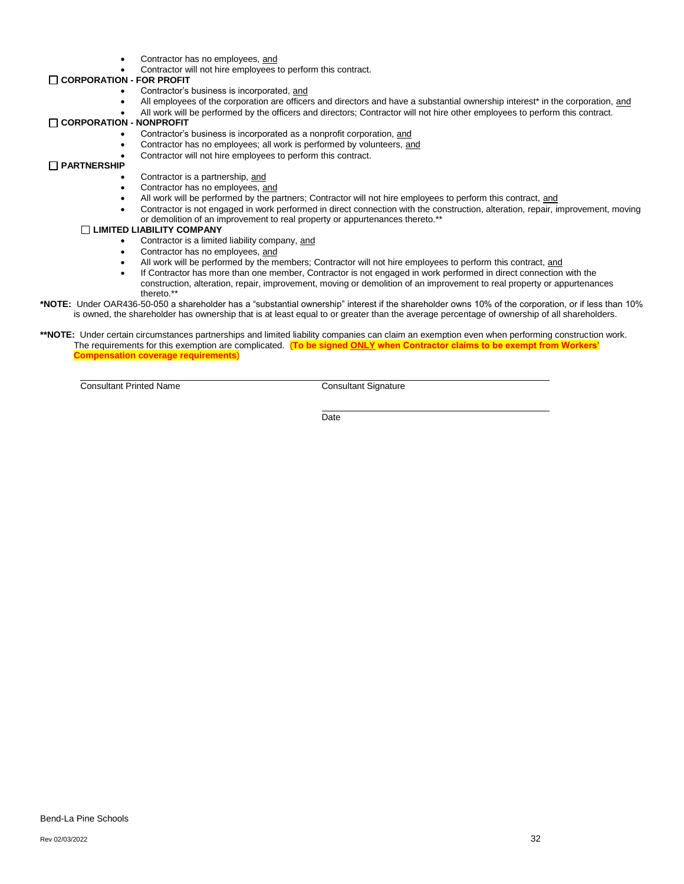- Contractor has no employees, and
- Contractor will not hire employees to perform this contract.

#### **CORPORATION - FOR PROFIT**

- Contractor's business is incorporated, and
- All employees of the corporation are officers and directors and have a substantial ownership interest\* in the corporation, and
- All work will be performed by the officers and directors; Contractor will not hire other employees to perform this contract.

#### **CORPORATION - NONPROFIT**

- Contractor's business is incorporated as a nonprofit corporation, and
- Contractor has no employees; all work is performed by volunteers, and
- Contractor will not hire employees to perform this contract.

#### **PARTNERSHIP**

- Contractor is a partnership, and
- Contractor has no employees, and
- All work will be performed by the partners; Contractor will not hire employees to perform this contract, and
- Contractor is not engaged in work performed in direct connection with the construction, alteration, repair, improvement, moving or demolition of an improvement to real property or appurtenances thereto.\*\*

#### **LIMITED LIABILITY COMPANY**

- Contractor is a limited liability company, and
- Contractor has no employees, and
- All work will be performed by the members; Contractor will not hire employees to perform this contract, and
- If Contractor has more than one member, Contractor is not engaged in work performed in direct connection with the construction, alteration, repair, improvement, moving or demolition of an improvement to real property or appurtenances thereto.\*\*
- **\*NOTE:** Under OAR436-50-050 a shareholder has a "substantial ownership" interest if the shareholder owns 10% of the corporation, or if less than 10% is owned, the shareholder has ownership that is at least equal to or greater than the average percentage of ownership of all shareholders.

#### \*\*NOTE: Under certain circumstances partnerships and limited liability companies can claim an exemption even when performing construction work. The requirements for this exemption are complicated. (**To be signed ONLY when Contractor claims to be exempt from Workers' Compensation coverage requirements**)

**Consultant Printed Name** Consultant Signature

**Date**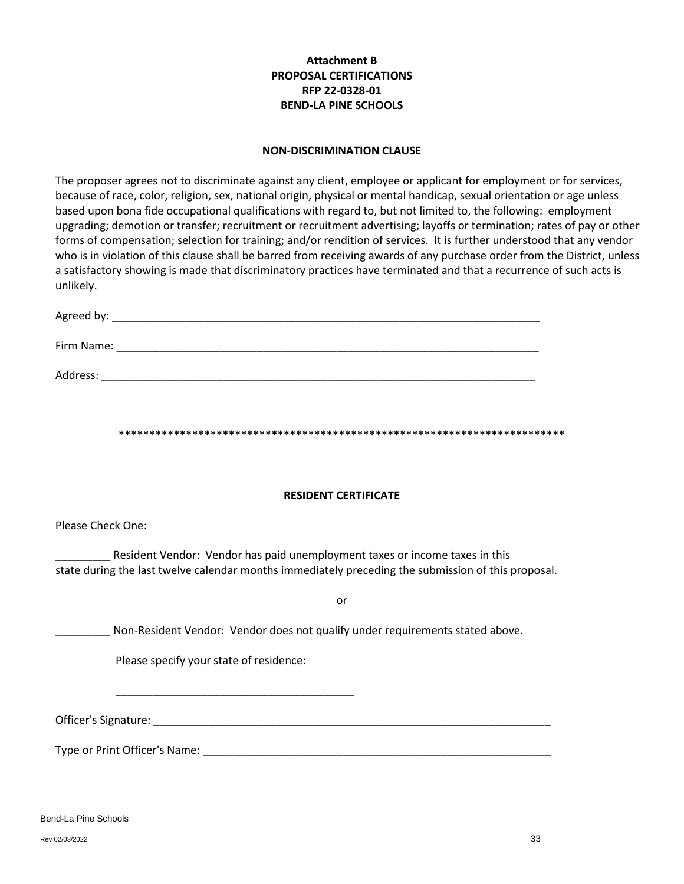# **Attachment B PROPOSAL CERTIFICATIONS RFP 22-0328-01 BEND-LA PINE SCHOOLS**

#### **NON-DISCRIMINATION CLAUSE**

The proposer agrees not to discriminate against any client, employee or applicant for employment or for services, because of race, color, religion, sex, national origin, physical or mental handicap, sexual orientation or age unless based upon bona fide occupational qualifications with regard to, but not limited to, the following: employment upgrading; demotion or transfer; recruitment or recruitment advertising; layoffs or termination; rates of pay or other forms of compensation; selection for training; and/or rendition of services. It is further understood that any vendor who is in violation of this clause shall be barred from receiving awards of any purchase order from the District, unless a satisfactory showing is made that discriminatory practices have terminated and that a recurrence of such acts is unlikely.

| Agreed by: |  |  |  |
|------------|--|--|--|
| Firm Name: |  |  |  |
|            |  |  |  |

\*\*\*\*\*\*\*\*\*\*\*\*\*\*\*\*\*\*\*\*\*\*\*\*\*\*\*\*\*\*\*\*\*\*\*\*\*\*\*\*\*\*\*\*\*\*\*\*\*\*\*\*\*\*\*\*\*\*\*\*\*\*\*\*\*\*\*\*\*\*\*\*\*

### **RESIDENT CERTIFICATE**

Please Check One:

\_\_\_\_\_\_\_\_\_ Resident Vendor: Vendor has paid unemployment taxes or income taxes in this state during the last twelve calendar months immediately preceding the submission of this proposal.

or

\_\_\_\_\_\_\_ Non-Resident Vendor: Vendor does not qualify under requirements stated above.

Please specify your state of residence:

\_\_\_\_\_\_\_\_\_\_\_\_\_\_\_\_\_\_\_\_\_\_\_\_\_\_\_\_\_\_\_\_\_\_\_\_\_\_\_

Address: \_\_\_\_\_\_\_\_\_\_\_\_\_\_\_\_\_\_\_\_\_\_\_\_\_\_\_\_\_\_\_\_\_\_\_\_\_\_\_\_\_\_\_\_\_\_\_\_\_\_\_\_\_\_\_\_\_\_\_\_\_\_\_\_\_\_\_\_\_\_\_

Officer's Signature: \_\_\_\_\_\_\_\_\_\_\_\_\_\_\_\_\_\_\_\_\_\_\_\_\_\_\_\_\_\_\_\_\_\_\_\_\_\_\_\_\_\_\_\_\_\_\_\_\_\_\_\_\_\_\_\_\_\_\_\_\_\_\_\_\_

Type or Print Officer's Name:  $\Box$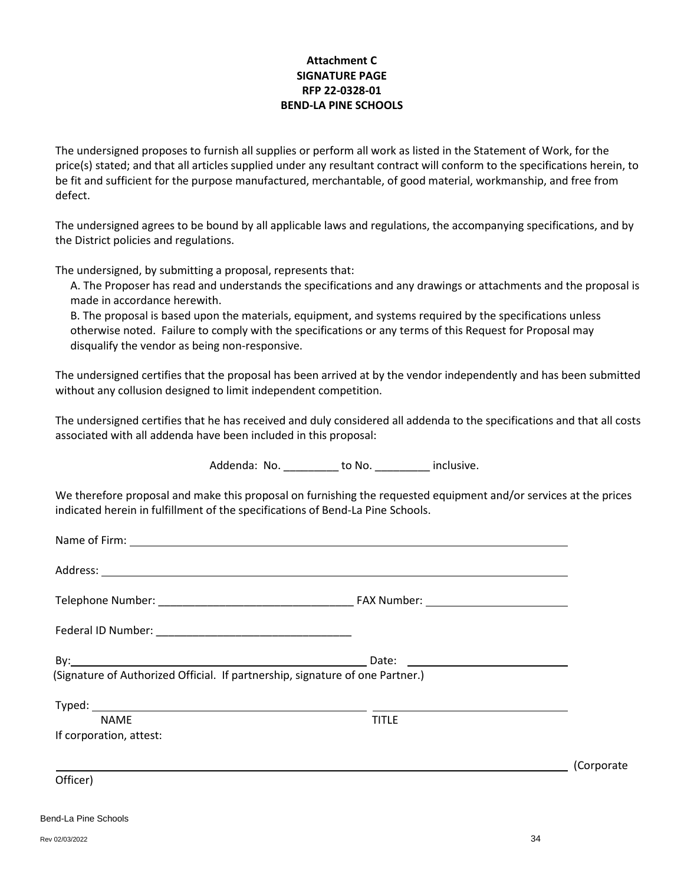## **Attachment C SIGNATURE PAGE RFP 22-0328-01 BEND-LA PINE SCHOOLS**

The undersigned proposes to furnish all supplies or perform all work as listed in the Statement of Work, for the price(s) stated; and that all articles supplied under any resultant contract will conform to the specifications herein, to be fit and sufficient for the purpose manufactured, merchantable, of good material, workmanship, and free from defect.

The undersigned agrees to be bound by all applicable laws and regulations, the accompanying specifications, and by the District policies and regulations.

The undersigned, by submitting a proposal, represents that:

A. The Proposer has read and understands the specifications and any drawings or attachments and the proposal is made in accordance herewith.

B. The proposal is based upon the materials, equipment, and systems required by the specifications unless otherwise noted. Failure to comply with the specifications or any terms of this Request for Proposal may disqualify the vendor as being non-responsive.

The undersigned certifies that the proposal has been arrived at by the vendor independently and has been submitted without any collusion designed to limit independent competition.

The undersigned certifies that he has received and duly considered all addenda to the specifications and that all costs associated with all addenda have been included in this proposal:

Addenda: No. \_\_\_\_\_\_\_\_\_ to No. \_\_\_\_\_\_\_\_\_ inclusive.

We therefore proposal and make this proposal on furnishing the requested equipment and/or services at the prices indicated herein in fulfillment of the specifications of Bend-La Pine Schools.

| (Signature of Authorized Official. If partnership, signature of one Partner.) |              |            |
|-------------------------------------------------------------------------------|--------------|------------|
| <b>NAME</b><br>If corporation, attest:                                        | <b>TITLE</b> |            |
| Officer)                                                                      |              | (Corporate |
|                                                                               |              |            |